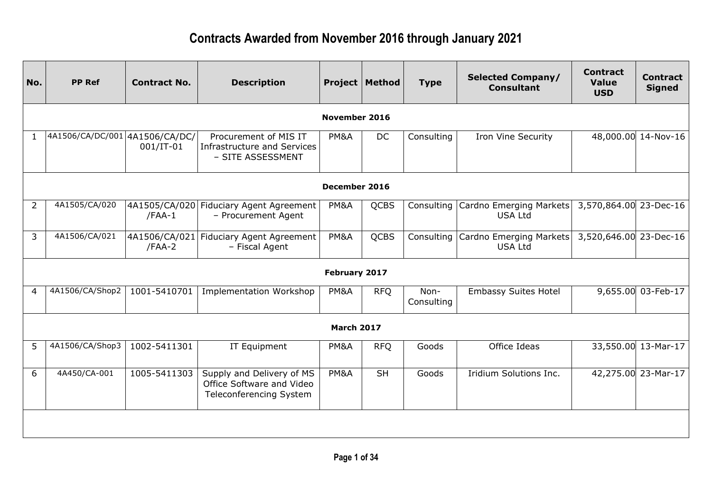| No.            | <b>PP Ref</b>                  | <b>Contract No.</b>       | <b>Description</b>                                                                | Project           | Method      | <b>Type</b>        | <b>Selected Company/</b><br><b>Consultant</b>            | <b>Contract</b><br><b>Value</b><br><b>USD</b> | <b>Contract</b><br><b>Signed</b> |
|----------------|--------------------------------|---------------------------|-----------------------------------------------------------------------------------|-------------------|-------------|--------------------|----------------------------------------------------------|-----------------------------------------------|----------------------------------|
|                |                                |                           |                                                                                   | November 2016     |             |                    |                                                          |                                               |                                  |
| $\mathbf{1}$   | 4A1506/CA/DC/001 4A1506/CA/DC/ | $001/IT-01$               | Procurement of MIS IT<br><b>Infrastructure and Services</b><br>- SITE ASSESSMENT  | PM&A              | <b>DC</b>   | Consulting         | <b>Iron Vine Security</b>                                |                                               | 48,000.00 14-Nov-16              |
|                |                                |                           |                                                                                   | December 2016     |             |                    |                                                          |                                               |                                  |
| $\overline{2}$ | 4A1505/CA/020                  | $/FAA-1$                  | 4A1505/CA/020 Fiduciary Agent Agreement<br>- Procurement Agent                    | PM&A              | <b>QCBS</b> | Consulting         | Cardno Emerging Markets<br><b>USA Ltd</b>                | 3,570,864.00 23-Dec-16                        |                                  |
| 3              | 4A1506/CA/021                  | 4A1506/CA/021<br>$/FAA-2$ | <b>Fiduciary Agent Agreement</b><br>- Fiscal Agent                                | PM&A              | <b>QCBS</b> |                    | Consulting   Cardno Emerging Markets  <br><b>USA Ltd</b> | 3,520,646.00 23-Dec-16                        |                                  |
|                |                                |                           |                                                                                   | February 2017     |             |                    |                                                          |                                               |                                  |
| 4              | 4A1506/CA/Shop2                | 1001-5410701              | <b>Implementation Workshop</b>                                                    | PM&A              | <b>RFQ</b>  | Non-<br>Consulting | <b>Embassy Suites Hotel</b>                              |                                               | 9,655.00 03-Feb-17               |
|                |                                |                           |                                                                                   | <b>March 2017</b> |             |                    |                                                          |                                               |                                  |
| 5              | 4A1506/CA/Shop3                | 1002-5411301              | IT Equipment                                                                      | PM&A              | <b>RFQ</b>  | Goods              | Office Ideas                                             |                                               | 33,550.00 13-Mar-17              |
| 6              | 4A450/CA-001                   | 1005-5411303              | Supply and Delivery of MS<br>Office Software and Video<br>Teleconferencing System | PM&A              | <b>SH</b>   | Goods              | Iridium Solutions Inc.                                   |                                               | 42,275.00 23-Mar-17              |
|                |                                |                           |                                                                                   |                   |             |                    |                                                          |                                               |                                  |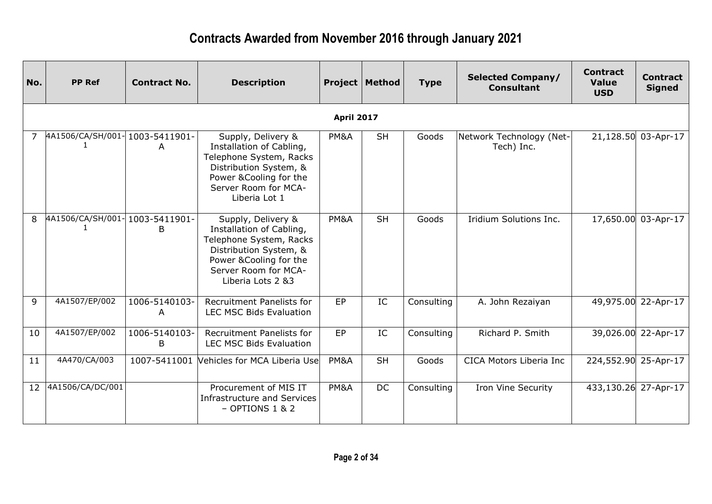| No. | <b>PP Ref</b>                  | <b>Contract No.</b> | <b>Description</b>                                                                                                                                                          |                   | <b>Project   Method</b> | <b>Type</b> | <b>Selected Company/</b><br><b>Consultant</b> | <b>Contract</b><br><b>Value</b><br><b>USD</b> | <b>Contract</b><br><b>Signed</b> |
|-----|--------------------------------|---------------------|-----------------------------------------------------------------------------------------------------------------------------------------------------------------------------|-------------------|-------------------------|-------------|-----------------------------------------------|-----------------------------------------------|----------------------------------|
|     |                                |                     |                                                                                                                                                                             | <b>April 2017</b> |                         |             |                                               |                                               |                                  |
|     | 4A1506/CA/SH/001-1003-5411901- | A                   | Supply, Delivery &<br>Installation of Cabling,<br>Telephone System, Racks<br>Distribution System, &<br>Power & Cooling for the<br>Server Room for MCA-<br>Liberia Lot 1     | PM&A              | <b>SH</b>               | Goods       | Network Technology (Net-<br>Tech) Inc.        |                                               | 21,128.50 03-Apr-17              |
| 8   | 4A1506/CA/SH/001-1003-5411901- | B                   | Supply, Delivery &<br>Installation of Cabling,<br>Telephone System, Racks<br>Distribution System, &<br>Power & Cooling for the<br>Server Room for MCA-<br>Liberia Lots 2 &3 | PM&A              | <b>SH</b>               | Goods       | Iridium Solutions Inc.                        | 17,650.00                                     | $03$ -Apr-17                     |
| 9   | 4A1507/EP/002                  | 1006-5140103-<br>A  | Recruitment Panelists for<br><b>LEC MSC Bids Evaluation</b>                                                                                                                 | EP                | IC                      | Consulting  | A. John Rezaiyan                              |                                               | 49,975.00 22-Apr-17              |
| 10  | 4A1507/EP/002                  | 1006-5140103-<br>B  | Recruitment Panelists for<br><b>LEC MSC Bids Evaluation</b>                                                                                                                 | EP                | IC                      | Consulting  | Richard P. Smith                              | 39,026.00                                     | 22-Apr-17                        |
| 11  | 4A470/CA/003                   | 1007-5411001        | Vehicles for MCA Liberia Use                                                                                                                                                | PM&A              | <b>SH</b>               | Goods       | CICA Motors Liberia Inc                       | 224,552.90                                    | 25-Apr-17                        |
| 12  | 4A1506/CA/DC/001               |                     | Procurement of MIS IT<br>Infrastructure and Services<br>$-$ OPTIONS 1 & 2                                                                                                   | PM&A              | <b>DC</b>               | Consulting  | <b>Iron Vine Security</b>                     | 433,130.26 27-Apr-17                          |                                  |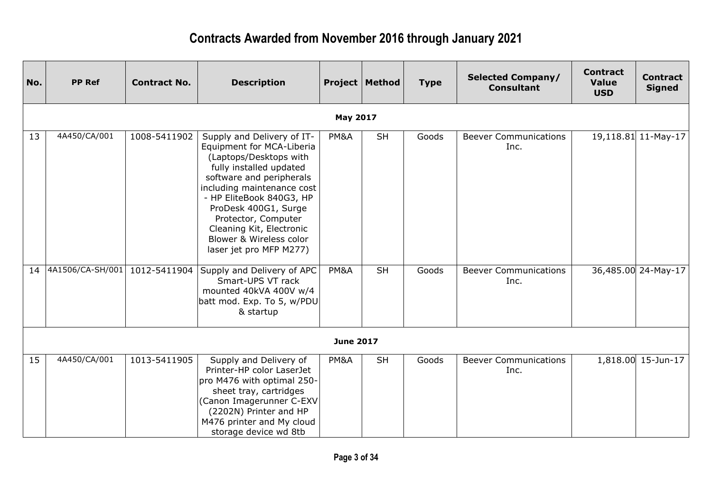| No. | <b>PP Ref</b>       | <b>Contract No.</b> | <b>Description</b>                                                                                                                                                                                                                                                                                                                  |                  | <b>Project   Method</b> | <b>Type</b> | <b>Selected Company/</b><br><b>Consultant</b> | <b>Contract</b><br><b>Value</b><br><b>USD</b> | <b>Contract</b><br><b>Signed</b> |
|-----|---------------------|---------------------|-------------------------------------------------------------------------------------------------------------------------------------------------------------------------------------------------------------------------------------------------------------------------------------------------------------------------------------|------------------|-------------------------|-------------|-----------------------------------------------|-----------------------------------------------|----------------------------------|
|     |                     |                     |                                                                                                                                                                                                                                                                                                                                     | <b>May 2017</b>  |                         |             |                                               |                                               |                                  |
| 13  | 4A450/CA/001        | 1008-5411902        | Supply and Delivery of IT-<br>Equipment for MCA-Liberia<br>(Laptops/Desktops with<br>fully installed updated<br>software and peripherals<br>including maintenance cost<br>- HP EliteBook 840G3, HP<br>ProDesk 400G1, Surge<br>Protector, Computer<br>Cleaning Kit, Electronic<br>Blower & Wireless color<br>laser jet pro MFP M277) | PM&A             | <b>SH</b>               | Goods       | <b>Beever Communications</b><br>Inc.          |                                               | 19,118.81 11-May-17              |
|     | 14 4A1506/CA-SH/001 | 1012-5411904        | Supply and Delivery of APC<br>Smart-UPS VT rack<br>mounted 40kVA 400V w/4<br>batt mod. Exp. To 5, w/PDU<br>& startup                                                                                                                                                                                                                | PM&A             | <b>SH</b>               | Goods       | <b>Beever Communications</b><br>Inc.          |                                               | 36,485.00 24-May-17              |
|     |                     |                     |                                                                                                                                                                                                                                                                                                                                     | <b>June 2017</b> |                         |             |                                               |                                               |                                  |
| 15  | 4A450/CA/001        | 1013-5411905        | Supply and Delivery of<br>Printer-HP color LaserJet<br>pro M476 with optimal 250-<br>sheet tray, cartridges<br>(Canon Imagerunner C-EXV<br>(2202N) Printer and HP<br>M476 printer and My cloud<br>storage device wd 8tb                                                                                                             | PM&A             | <b>SH</b>               | Goods       | <b>Beever Communications</b><br>Inc.          |                                               | 1,818.00 15-Jun-17               |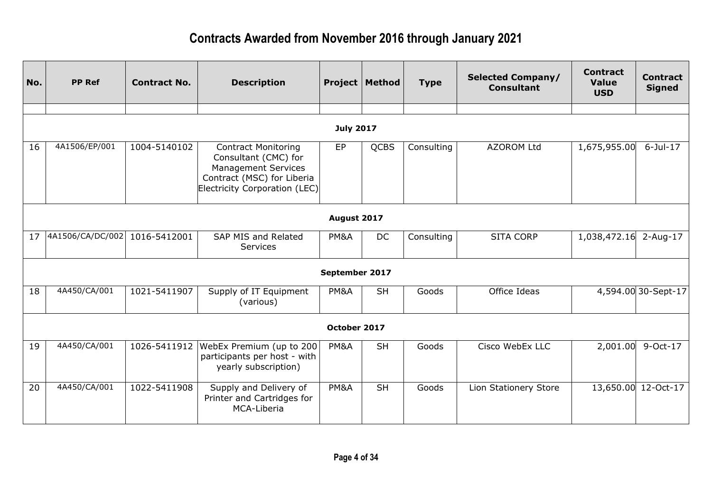| No. | <b>PP Ref</b>    | <b>Contract No.</b> | <b>Description</b>                                                                                                                              |                | <b>Project   Method</b> | <b>Type</b> | <b>Selected Company/</b><br><b>Consultant</b> | <b>Contract</b><br><b>Value</b><br><b>USD</b> | <b>Contract</b><br><b>Signed</b> |  |  |  |
|-----|------------------|---------------------|-------------------------------------------------------------------------------------------------------------------------------------------------|----------------|-------------------------|-------------|-----------------------------------------------|-----------------------------------------------|----------------------------------|--|--|--|
|     |                  |                     |                                                                                                                                                 |                |                         |             |                                               |                                               |                                  |  |  |  |
|     | <b>July 2017</b> |                     |                                                                                                                                                 |                |                         |             |                                               |                                               |                                  |  |  |  |
| 16  | 4A1506/EP/001    | 1004-5140102        | <b>Contract Monitoring</b><br>Consultant (CMC) for<br><b>Management Services</b><br>Contract (MSC) for Liberia<br>Electricity Corporation (LEC) | EP             | <b>QCBS</b>             | Consulting  | <b>AZOROM Ltd</b>                             | 1,675,955.00                                  | $6$ -Jul-17                      |  |  |  |
|     |                  |                     |                                                                                                                                                 | August 2017    |                         |             |                                               |                                               |                                  |  |  |  |
| 17  | 4A1506/CA/DC/002 | 1016-5412001        | SAP MIS and Related<br>Services                                                                                                                 | PM&A           | <b>DC</b>               | Consulting  | <b>SITA CORP</b>                              | 1,038,472.16                                  | $2 - Aug-17$                     |  |  |  |
|     |                  |                     |                                                                                                                                                 | September 2017 |                         |             |                                               |                                               |                                  |  |  |  |
| 18  | 4A450/CA/001     | 1021-5411907        | Supply of IT Equipment<br>(various)                                                                                                             | PM&A           | <b>SH</b>               | Goods       | Office Ideas                                  |                                               | 4,594.00 30-Sept-17              |  |  |  |
|     |                  |                     |                                                                                                                                                 | October 2017   |                         |             |                                               |                                               |                                  |  |  |  |
| 19  | 4A450/CA/001     | 1026-5411912        | WebEx Premium (up to 200<br>participants per host - with<br>yearly subscription)                                                                | PM&A           | <b>SH</b>               | Goods       | Cisco WebEx LLC                               | 2,001.00                                      | 9-Oct-17                         |  |  |  |
| 20  | 4A450/CA/001     | 1022-5411908        | Supply and Delivery of<br>Printer and Cartridges for<br>MCA-Liberia                                                                             | PM&A           | <b>SH</b>               | Goods       | Lion Stationery Store                         | 13,650.00                                     | 12-Oct-17                        |  |  |  |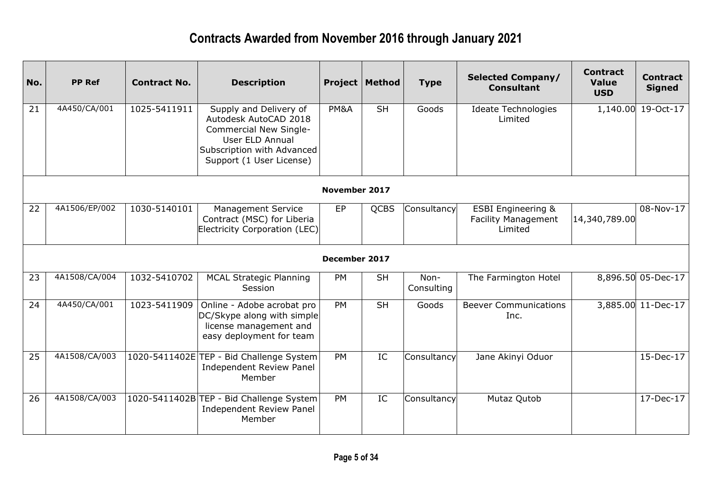| No. | <b>PP Ref</b> | <b>Contract No.</b> | <b>Description</b>                                                                                                                                     |                      | <b>Project   Method</b>  | <b>Type</b>        | <b>Selected Company/</b><br><b>Consultant</b>                          | <b>Contract</b><br><b>Value</b><br><b>USD</b> | <b>Contract</b><br><b>Signed</b> |
|-----|---------------|---------------------|--------------------------------------------------------------------------------------------------------------------------------------------------------|----------------------|--------------------------|--------------------|------------------------------------------------------------------------|-----------------------------------------------|----------------------------------|
| 21  | 4A450/CA/001  | 1025-5411911        | Supply and Delivery of<br>Autodesk AutoCAD 2018<br>Commercial New Single-<br>User ELD Annual<br>Subscription with Advanced<br>Support (1 User License) | PM&A                 | <b>SH</b>                | Goods              | <b>Ideate Technologies</b><br>Limited                                  |                                               | 1,140.00 19-Oct-17               |
|     |               |                     |                                                                                                                                                        | <b>November 2017</b> |                          |                    |                                                                        |                                               |                                  |
| 22  | 4A1506/EP/002 | 1030-5140101        | <b>Management Service</b><br>Contract (MSC) for Liberia<br>Electricity Corporation (LEC)                                                               | EP                   | <b>QCBS</b>              | Consultancy        | <b>ESBI Engineering &amp;</b><br><b>Facility Management</b><br>Limited | 14,340,789.00                                 | 08-Nov-17                        |
|     |               |                     |                                                                                                                                                        | December 2017        |                          |                    |                                                                        |                                               |                                  |
| 23  | 4A1508/CA/004 | 1032-5410702        | <b>MCAL Strategic Planning</b><br>Session                                                                                                              | <b>PM</b>            | <b>SH</b>                | Non-<br>Consulting | The Farmington Hotel                                                   |                                               | 8,896.50 05-Dec-17               |
| 24  | 4A450/CA/001  | 1023-5411909        | Online - Adobe acrobat pro<br>DC/Skype along with simple<br>license management and<br>easy deployment for team                                         | PM                   | $\overline{\mathsf{SH}}$ | Goods              | <b>Beever Communications</b><br>Inc.                                   |                                               | 3,885.00 11-Dec-17               |
| 25  | 4A1508/CA/003 |                     | 1020-5411402E TEP - Bid Challenge System<br><b>Independent Review Panel</b><br>Member                                                                  | <b>PM</b>            | IC                       | Consultancy        | Jane Akinyi Oduor                                                      |                                               | 15-Dec-17                        |
| 26  | 4A1508/CA/003 |                     | 1020-5411402B TEP - Bid Challenge System<br>Independent Review Panel<br>Member                                                                         | PM                   | IC                       | Consultancy        | Mutaz Qutob                                                            |                                               | 17-Dec-17                        |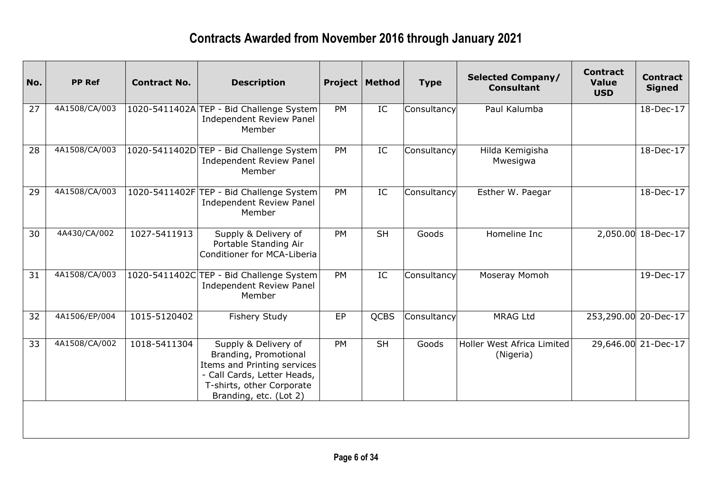| No. | <b>PP Ref</b> | <b>Contract No.</b> | <b>Description</b>                                                                                                                                                 |           | <b>Project   Method</b> | <b>Type</b> | <b>Selected Company/</b><br><b>Consultant</b> | <b>Contract</b><br><b>Value</b><br><b>USD</b> | <b>Contract</b><br><b>Signed</b> |
|-----|---------------|---------------------|--------------------------------------------------------------------------------------------------------------------------------------------------------------------|-----------|-------------------------|-------------|-----------------------------------------------|-----------------------------------------------|----------------------------------|
| 27  | 4A1508/CA/003 |                     | 1020-5411402A TEP - Bid Challenge System<br><b>Independent Review Panel</b><br>Member                                                                              | <b>PM</b> | IC                      | Consultancy | Paul Kalumba                                  |                                               | 18-Dec-17                        |
| 28  | 4A1508/CA/003 |                     | 1020-5411402D TEP - Bid Challenge System<br><b>Independent Review Panel</b><br>Member                                                                              | <b>PM</b> | IC                      | Consultancy | Hilda Kemigisha<br>Mwesigwa                   |                                               | 18-Dec-17                        |
| 29  | 4A1508/CA/003 |                     | 1020-5411402F TEP - Bid Challenge System<br><b>Independent Review Panel</b><br>Member                                                                              | PM        | IC                      | Consultancy | Esther W. Paegar                              |                                               | 18-Dec-17                        |
| 30  | 4A430/CA/002  | 1027-5411913        | Supply & Delivery of<br>Portable Standing Air<br>Conditioner for MCA-Liberia                                                                                       | <b>PM</b> | <b>SH</b>               | Goods       | Homeline Inc                                  |                                               | 2,050.00 18-Dec-17               |
| 31  | 4A1508/CA/003 |                     | 1020-5411402C TEP - Bid Challenge System<br><b>Independent Review Panel</b><br>Member                                                                              | <b>PM</b> | IC                      | Consultancy | Moseray Momoh                                 |                                               | 19-Dec-17                        |
| 32  | 4A1506/EP/004 | 1015-5120402        | Fishery Study                                                                                                                                                      | EP        | <b>QCBS</b>             | Consultancy | <b>MRAG Ltd</b>                               | 253,290.00 20-Dec-17                          |                                  |
| 33  | 4A1508/CA/002 | 1018-5411304        | Supply & Delivery of<br>Branding, Promotional<br>Items and Printing services<br>- Call Cards, Letter Heads,<br>T-shirts, other Corporate<br>Branding, etc. (Lot 2) | <b>PM</b> | <b>SH</b>               | Goods       | Holler West Africa Limited<br>(Nigeria)       |                                               | 29,646.00 21-Dec-17              |
|     |               |                     |                                                                                                                                                                    |           |                         |             |                                               |                                               |                                  |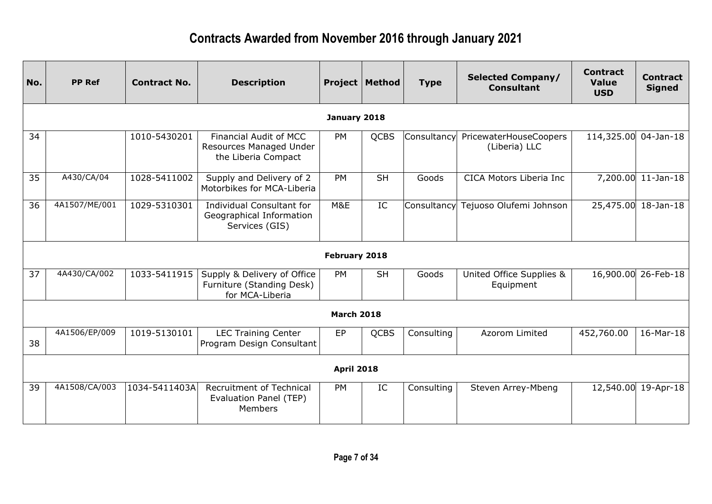| No. | <b>PP Ref</b> | <b>Contract No.</b> | <b>Description</b>                                                              |                   | <b>Project   Method</b> | <b>Type</b> | <b>Selected Company/</b><br><b>Consultant</b> | <b>Contract</b><br><b>Value</b><br><b>USD</b> | <b>Contract</b><br><b>Signed</b> |
|-----|---------------|---------------------|---------------------------------------------------------------------------------|-------------------|-------------------------|-------------|-----------------------------------------------|-----------------------------------------------|----------------------------------|
|     |               |                     |                                                                                 | January 2018      |                         |             |                                               |                                               |                                  |
| 34  |               | 1010-5430201        | <b>Financial Audit of MCC</b><br>Resources Managed Under<br>the Liberia Compact | <b>PM</b>         | <b>QCBS</b>             | Consultancy | PricewaterHouseCoopers<br>(Liberia) LLC       | 114,325.00 04-Jan-18                          |                                  |
| 35  | A430/CA/04    | 1028-5411002        | Supply and Delivery of 2<br>Motorbikes for MCA-Liberia                          | <b>PM</b>         | <b>SH</b>               | Goods       | CICA Motors Liberia Inc                       |                                               | 7,200.00 11-Jan-18               |
| 36  | 4A1507/ME/001 | 1029-5310301        | <b>Individual Consultant for</b><br>Geographical Information<br>Services (GIS)  | M&E               | IC                      | Consultancy | Tejuoso Olufemi Johnson                       |                                               | 25,475.00 18-Jan-18              |
|     |               |                     |                                                                                 | February 2018     |                         |             |                                               |                                               |                                  |
| 37  | 4A430/CA/002  | 1033-5411915        | Supply & Delivery of Office<br>Furniture (Standing Desk)<br>for MCA-Liberia     | <b>PM</b>         | <b>SH</b>               | Goods       | United Office Supplies &<br>Equipment         |                                               | 16,900.00 26-Feb-18              |
|     |               |                     |                                                                                 | <b>March 2018</b> |                         |             |                                               |                                               |                                  |
| 38  | 4A1506/EP/009 | 1019-5130101        | <b>LEC Training Center</b><br>Program Design Consultant                         | EP                | <b>QCBS</b>             | Consulting  | Azorom Limited                                | 452,760.00                                    | 16-Mar-18                        |
|     |               |                     |                                                                                 | <b>April 2018</b> |                         |             |                                               |                                               |                                  |
| 39  | 4A1508/CA/003 | 1034-5411403A       | <b>Recruitment of Technical</b><br>Evaluation Panel (TEP)<br>Members            | <b>PM</b>         | IC                      | Consulting  | Steven Arrey-Mbeng                            |                                               | 12,540.00 19-Apr-18              |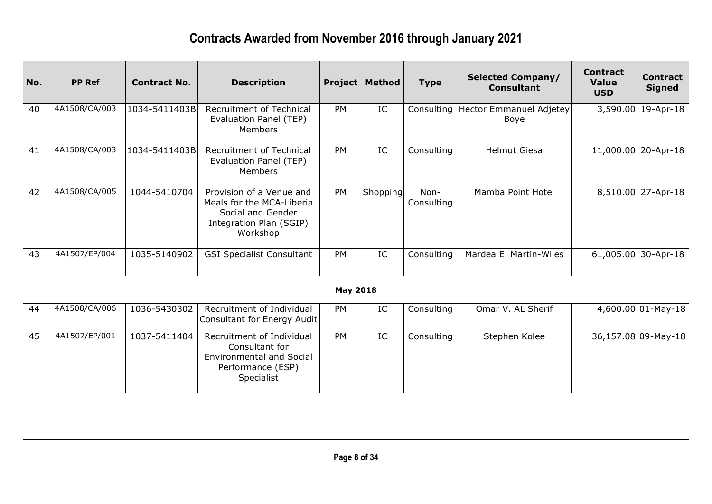| No. | <b>PP Ref</b> | <b>Contract No.</b> | <b>Description</b>                                                                                                |                 | <b>Project   Method</b> | <b>Type</b>        | <b>Selected Company/</b><br><b>Consultant</b> | <b>Contract</b><br><b>Value</b><br><b>USD</b> | <b>Contract</b><br><b>Signed</b> |
|-----|---------------|---------------------|-------------------------------------------------------------------------------------------------------------------|-----------------|-------------------------|--------------------|-----------------------------------------------|-----------------------------------------------|----------------------------------|
| 40  | 4A1508/CA/003 | 1034-5411403B       | Recruitment of Technical<br>Evaluation Panel (TEP)<br><b>Members</b>                                              | <b>PM</b>       | IC                      | Consulting         | Hector Emmanuel Adjetey<br>Boye               | 3,590.00                                      | 19-Apr-18                        |
| 41  | 4A1508/CA/003 | 1034-5411403B       | Recruitment of Technical<br>Evaluation Panel (TEP)<br><b>Members</b>                                              | PM              | IC                      | Consulting         | <b>Helmut Giesa</b>                           | 11,000.00                                     | 20-Apr-18                        |
| 42  | 4A1508/CA/005 | 1044-5410704        | Provision of a Venue and<br>Meals for the MCA-Liberia<br>Social and Gender<br>Integration Plan (SGIP)<br>Workshop | PM              | Shopping                | Non-<br>Consulting | Mamba Point Hotel                             |                                               | 8,510.00 27-Apr-18               |
| 43  | 4A1507/EP/004 | 1035-5140902        | <b>GSI Specialist Consultant</b>                                                                                  | PM              | IC                      | Consulting         | Mardea E. Martin-Wiles                        | 61,005.00                                     | 30-Apr-18                        |
|     |               |                     |                                                                                                                   | <b>May 2018</b> |                         |                    |                                               |                                               |                                  |
| 44  | 4A1508/CA/006 | 1036-5430302        | Recruitment of Individual<br>Consultant for Energy Audit                                                          | <b>PM</b>       | IC                      | Consulting         | Omar V. AL Sherif                             |                                               | $\sqrt{4,600.00}$ 01-May-18      |
| 45  | 4A1507/EP/001 | 1037-5411404        | Recruitment of Individual<br>Consultant for<br><b>Environmental and Social</b><br>Performance (ESP)<br>Specialist | PM              | IC                      | Consulting         | Stephen Kolee                                 |                                               | 36,157.08 09-May-18              |
|     |               |                     |                                                                                                                   |                 |                         |                    |                                               |                                               |                                  |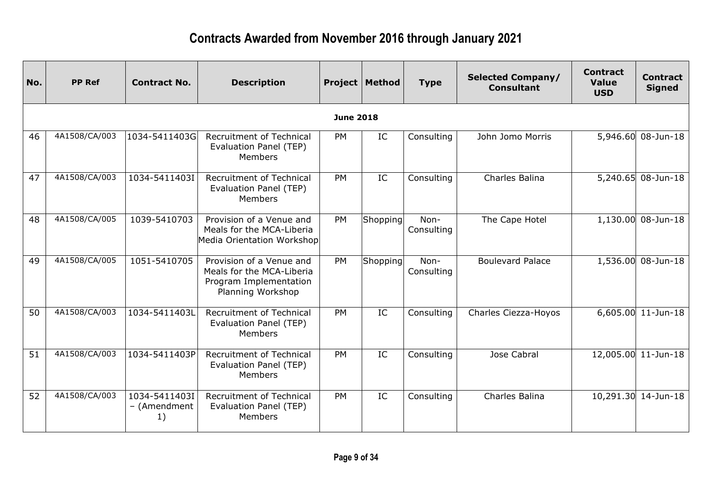| No. | <b>PP Ref</b> | <b>Contract No.</b>                 | <b>Description</b>                                                                                   |                  | <b>Project   Method</b> | <b>Type</b>        | <b>Selected Company/</b><br><b>Consultant</b> | <b>Contract</b><br><b>Value</b><br><b>USD</b> | <b>Contract</b><br><b>Signed</b> |
|-----|---------------|-------------------------------------|------------------------------------------------------------------------------------------------------|------------------|-------------------------|--------------------|-----------------------------------------------|-----------------------------------------------|----------------------------------|
|     |               |                                     |                                                                                                      | <b>June 2018</b> |                         |                    |                                               |                                               |                                  |
| 46  | 4A1508/CA/003 | 1034-5411403G                       | Recruitment of Technical<br>Evaluation Panel (TEP)<br><b>Members</b>                                 | PM               | IC                      | Consulting         | John Jomo Morris                              |                                               | 5,946.60 08-Jun-18               |
| 47  | 4A1508/CA/003 | 1034-5411403I                       | Recruitment of Technical<br>Evaluation Panel (TEP)<br><b>Members</b>                                 | PM               | IC                      | Consulting         | Charles Balina                                |                                               | 5,240.65 08-Jun-18               |
| 48  | 4A1508/CA/005 | 1039-5410703                        | Provision of a Venue and<br>Meals for the MCA-Liberia<br>Media Orientation Workshop                  | PM               | Shopping                | Non-<br>Consulting | The Cape Hotel                                |                                               | 1,130.00 08-Jun-18               |
| 49  | 4A1508/CA/005 | 1051-5410705                        | Provision of a Venue and<br>Meals for the MCA-Liberia<br>Program Implementation<br>Planning Workshop | <b>PM</b>        | Shopping                | Non-<br>Consulting | <b>Boulevard Palace</b>                       | 1,536.00                                      | 08-Jun-18                        |
| 50  | 4A1508/CA/003 | 1034-5411403L                       | <b>Recruitment of Technical</b><br>Evaluation Panel (TEP)<br><b>Members</b>                          | <b>PM</b>        | IC                      | Consulting         | Charles Ciezza-Hoyos                          |                                               | $6,605.00$ 11-Jun-18             |
| 51  | 4A1508/CA/003 | 1034-5411403P                       | Recruitment of Technical<br>Evaluation Panel (TEP)<br>Members                                        | <b>PM</b>        | IC                      | Consulting         | Jose Cabral                                   |                                               | 12,005.00 11-Jun-18              |
| 52  | 4A1508/CA/003 | 1034-5411403I<br>- (Amendment<br>1) | <b>Recruitment of Technical</b><br>Evaluation Panel (TEP)<br>Members                                 | <b>PM</b>        | IC                      | Consulting         | Charles Balina                                |                                               | 10,291.30 14-Jun-18              |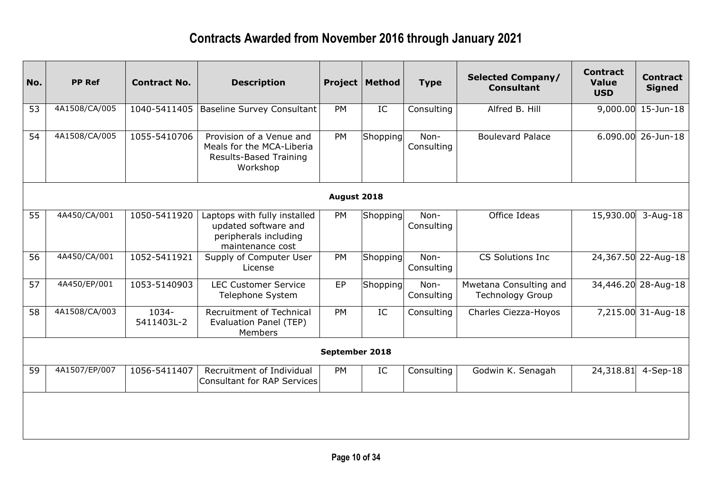| No. | <b>PP Ref</b> | <b>Contract No.</b> | <b>Description</b>                                                                                | Project        | Method   | <b>Type</b>        | <b>Selected Company/</b><br><b>Consultant</b>     | <b>Contract</b><br><b>Value</b><br><b>USD</b> | <b>Contract</b><br><b>Signed</b> |
|-----|---------------|---------------------|---------------------------------------------------------------------------------------------------|----------------|----------|--------------------|---------------------------------------------------|-----------------------------------------------|----------------------------------|
| 53  | 4A1508/CA/005 | 1040-5411405        | <b>Baseline Survey Consultant</b>                                                                 | <b>PM</b>      | IC       | Consulting         | Alfred B. Hill                                    |                                               | 9,000.00 15-Jun-18               |
| 54  | 4A1508/CA/005 | 1055-5410706        | Provision of a Venue and<br>Meals for the MCA-Liberia<br>Results-Based Training<br>Workshop       | PM             | Shopping | Non-<br>Consulting | <b>Boulevard Palace</b>                           |                                               | $6.090.00$ 26-Jun-18             |
|     |               |                     |                                                                                                   | August 2018    |          |                    |                                                   |                                               |                                  |
| 55  | 4A450/CA/001  | 1050-5411920        | Laptops with fully installed<br>updated software and<br>peripherals including<br>maintenance cost | <b>PM</b>      | Shopping | Non-<br>Consulting | Office Ideas                                      | 15,930.00                                     | $3 - Aug-18$                     |
| 56  | 4A450/CA/001  | 1052-5411921        | Supply of Computer User<br>License                                                                | PM             | Shopping | Non-<br>Consulting | CS Solutions Inc                                  |                                               | 24,367.50 22-Aug-18              |
| 57  | 4A450/EP/001  | 1053-5140903        | <b>LEC Customer Service</b><br>Telephone System                                                   | EP             | Shopping | Non-<br>Consulting | Mwetana Consulting and<br><b>Technology Group</b> |                                               | 34,446.20 28-Aug-18              |
| 58  | 4A1508/CA/003 | 1034-<br>5411403L-2 | Recruitment of Technical<br>Evaluation Panel (TEP)<br>Members                                     | <b>PM</b>      | IC       | Consulting         | Charles Ciezza-Hoyos                              |                                               | 7,215.00 31-Aug-18               |
|     |               |                     |                                                                                                   | September 2018 |          |                    |                                                   |                                               |                                  |
| 59  | 4A1507/EP/007 | 1056-5411407        | Recruitment of Individual<br><b>Consultant for RAP Services</b>                                   | <b>PM</b>      | IC       | Consulting         | Godwin K. Senagah                                 | 24,318.81                                     | $4-Sep-18$                       |
|     |               |                     |                                                                                                   |                |          |                    |                                                   |                                               |                                  |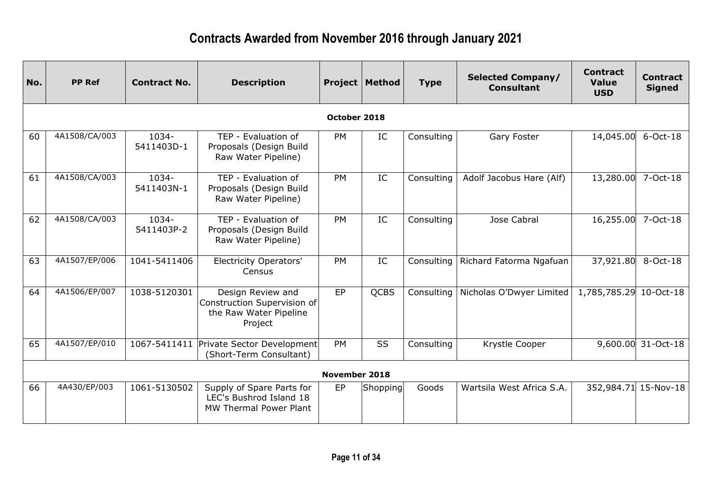| No. | <b>PP Ref</b> | <b>Contract No.</b> | <b>Description</b>                                                                    |                      | <b>Project   Method</b> | <b>Type</b> | <b>Selected Company/</b><br><b>Consultant</b> | <b>Contract</b><br><b>Value</b><br><b>USD</b> | <b>Contract</b><br><b>Signed</b> |
|-----|---------------|---------------------|---------------------------------------------------------------------------------------|----------------------|-------------------------|-------------|-----------------------------------------------|-----------------------------------------------|----------------------------------|
|     |               |                     |                                                                                       | October 2018         |                         |             |                                               |                                               |                                  |
| 60  | 4A1508/CA/003 | 1034-<br>5411403D-1 | TEP - Evaluation of<br>Proposals (Design Build<br>Raw Water Pipeline)                 | <b>PM</b>            | IC                      | Consulting  | Gary Foster                                   | 14,045.00                                     | $6$ -Oct-18                      |
| 61  | 4A1508/CA/003 | 1034-<br>5411403N-1 | TEP - Evaluation of<br>Proposals (Design Build<br>Raw Water Pipeline)                 | <b>PM</b>            | IC                      | Consulting  | Adolf Jacobus Hare (Alf)                      | 13,280.00                                     | 7-Oct-18                         |
| 62  | 4A1508/CA/003 | 1034-<br>5411403P-2 | TEP - Evaluation of<br>Proposals (Design Build<br>Raw Water Pipeline)                 | <b>PM</b>            | IC                      | Consulting  | Jose Cabral                                   | 16,255.00                                     | 7-Oct-18                         |
| 63  | 4A1507/EP/006 | 1041-5411406        | <b>Electricity Operators'</b><br>Census                                               | PM                   | IC                      | Consulting  | Richard Fatorma Ngafuan                       | 37,921.80                                     | 8-Oct-18                         |
| 64  | 4A1506/EP/007 | 1038-5120301        | Design Review and<br>Construction Supervision of<br>the Raw Water Pipeline<br>Project | EP                   | <b>QCBS</b>             | Consulting  | Nicholas O'Dwyer Limited                      | 1,785,785.29                                  | 10-Oct-18                        |
| 65  | 4A1507/EP/010 |                     | 1067-5411411 Private Sector Development<br>(Short-Term Consultant)                    | <b>PM</b>            | SS                      | Consulting  | Krystle Cooper                                | 9,600.00                                      | 31-Oct-18                        |
|     |               |                     |                                                                                       | <b>November 2018</b> |                         |             |                                               |                                               |                                  |
| 66  | 4A430/EP/003  | 1061-5130502        | Supply of Spare Parts for<br>LEC's Bushrod Island 18<br><b>MW Thermal Power Plant</b> | EP                   | Shopping                | Goods       | Wartsila West Africa S.A.                     |                                               | 352,984.71 15-Nov-18             |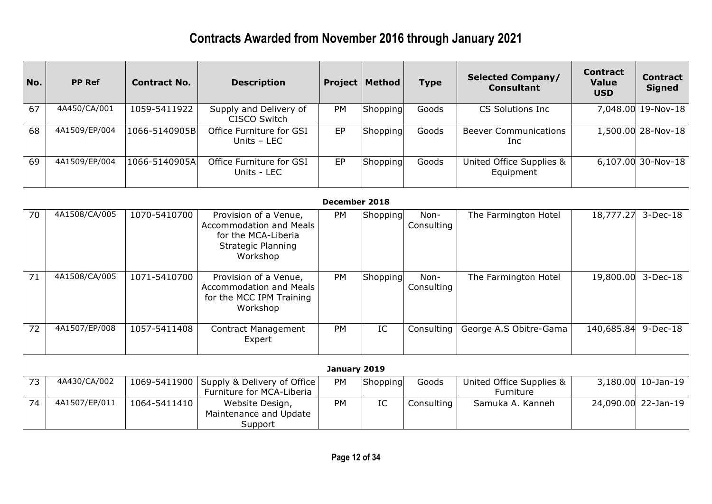| No.             | <b>PP Ref</b> | <b>Contract No.</b> | <b>Description</b>                                                                                                      |               | <b>Project   Method</b> | <b>Type</b>        | <b>Selected Company/</b><br><b>Consultant</b> | <b>Contract</b><br><b>Value</b><br><b>USD</b> | <b>Contract</b><br><b>Signed</b> |
|-----------------|---------------|---------------------|-------------------------------------------------------------------------------------------------------------------------|---------------|-------------------------|--------------------|-----------------------------------------------|-----------------------------------------------|----------------------------------|
| 67              | 4A450/CA/001  | 1059-5411922        | Supply and Delivery of<br><b>CISCO Switch</b>                                                                           | PM            | Shopping                | Goods              | <b>CS Solutions Inc.</b>                      |                                               | 7,048.00 19-Nov-18               |
| 68              | 4A1509/EP/004 | 1066-5140905B       | Office Furniture for GSI<br>Units - LEC                                                                                 | EP            | Shopping                | Goods              | <b>Beever Communications</b><br><b>Inc</b>    |                                               | 1,500.00 28-Nov-18               |
| 69              | 4A1509/EP/004 | 1066-5140905A       | Office Furniture for GSI<br>Units - LEC                                                                                 | EP            | Shopping                | Goods              | United Office Supplies &<br>Equipment         |                                               | 6,107.00 30-Nov-18               |
|                 |               |                     |                                                                                                                         | December 2018 |                         |                    |                                               |                                               |                                  |
| 70              | 4A1508/CA/005 | 1070-5410700        | Provision of a Venue,<br><b>Accommodation and Meals</b><br>for the MCA-Liberia<br><b>Strategic Planning</b><br>Workshop | <b>PM</b>     | Shopping                | Non-<br>Consulting | The Farmington Hotel                          | 18,777.27                                     | $3-Dec-18$                       |
| $\overline{71}$ | 4A1508/CA/005 | 1071-5410700        | Provision of a Venue,<br><b>Accommodation and Meals</b><br>for the MCC IPM Training<br>Workshop                         | PM            | Shopping                | Non-<br>Consulting | The Farmington Hotel                          | 19,800.00                                     | $3-Dec-18$                       |
| 72              | 4A1507/EP/008 | 1057-5411408        | <b>Contract Management</b><br>Expert                                                                                    | <b>PM</b>     | IC                      | Consulting         | George A.S Obitre-Gama                        | 140,685.84                                    | $9-Dec-18$                       |
|                 |               |                     |                                                                                                                         | January 2019  |                         |                    |                                               |                                               |                                  |
| 73              | 4A430/CA/002  | 1069-5411900        | Supply & Delivery of Office<br>Furniture for MCA-Liberia                                                                | <b>PM</b>     | Shopping                | Goods              | United Office Supplies &<br>Furniture         |                                               | 3,180.00 10-Jan-19               |
| 74              | 4A1507/EP/011 | 1064-5411410        | Website Design,<br>Maintenance and Update<br>Support                                                                    | <b>PM</b>     | IC                      | Consulting         | Samuka A. Kanneh                              |                                               | 24,090.00 22-Jan-19              |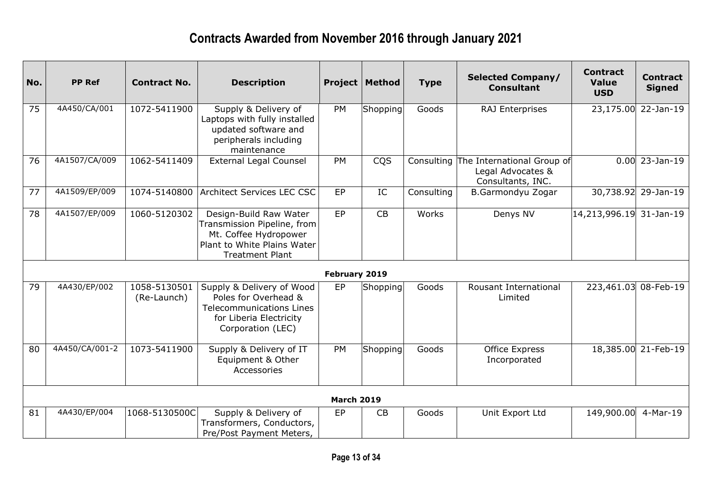| No. | <b>PP Ref</b>  | <b>Contract No.</b>         | <b>Description</b>                                                                                                                      |                   | <b>Project   Method</b> | <b>Type</b> | <b>Selected Company/</b><br><b>Consultant</b>                                   | <b>Contract</b><br><b>Value</b><br><b>USD</b> | <b>Contract</b><br><b>Signed</b> |
|-----|----------------|-----------------------------|-----------------------------------------------------------------------------------------------------------------------------------------|-------------------|-------------------------|-------------|---------------------------------------------------------------------------------|-----------------------------------------------|----------------------------------|
| 75  | 4A450/CA/001   | 1072-5411900                | Supply & Delivery of<br>Laptops with fully installed<br>updated software and<br>peripherals including<br>maintenance                    | PM                | Shopping                | Goods       | <b>RAJ Enterprises</b>                                                          |                                               | 23,175.00 22-Jan-19              |
| 76  | 4A1507/CA/009  | 1062-5411409                | <b>External Legal Counsel</b>                                                                                                           | <b>PM</b>         | CQS                     |             | Consulting The International Group of<br>Legal Advocates &<br>Consultants, INC. |                                               | $0.00$ 23-Jan-19                 |
| 77  | 4A1509/EP/009  | 1074-5140800                | Architect Services LEC CSC                                                                                                              | EP                | $\rm{IC}$               | Consulting  | B.Garmondyu Zogar                                                               |                                               | 30,738.92 29-Jan-19              |
| 78  | 4A1507/EP/009  | 1060-5120302                | Design-Build Raw Water<br>Transmission Pipeline, from<br>Mt. Coffee Hydropower<br>Plant to White Plains Water<br><b>Treatment Plant</b> | EP                | CB                      | Works       | Denys NV                                                                        | 14,213,996.19 31-Jan-19                       |                                  |
|     |                |                             |                                                                                                                                         | February 2019     |                         |             |                                                                                 |                                               |                                  |
| 79  | 4A430/EP/002   | 1058-5130501<br>(Re-Launch) | Supply & Delivery of Wood<br>Poles for Overhead &<br><b>Telecommunications Lines</b><br>for Liberia Electricity<br>Corporation (LEC)    | EP                | Shopping                | Goods       | Rousant International<br>Limited                                                |                                               | 223,461.03 08-Feb-19             |
| 80  | 4A450/CA/001-2 | 1073-5411900                | Supply & Delivery of IT<br>Equipment & Other<br>Accessories                                                                             | PM                | Shopping                | Goods       | <b>Office Express</b><br>Incorporated                                           |                                               | 18,385.00 21-Feb-19              |
|     |                |                             |                                                                                                                                         | <b>March 2019</b> |                         |             |                                                                                 |                                               |                                  |
| 81  | 4A430/EP/004   | 1068-5130500C               | Supply & Delivery of<br>Transformers, Conductors,<br>Pre/Post Payment Meters,                                                           | EP                | CB                      | Goods       | Unit Export Ltd                                                                 | 149,900.00 4-Mar-19                           |                                  |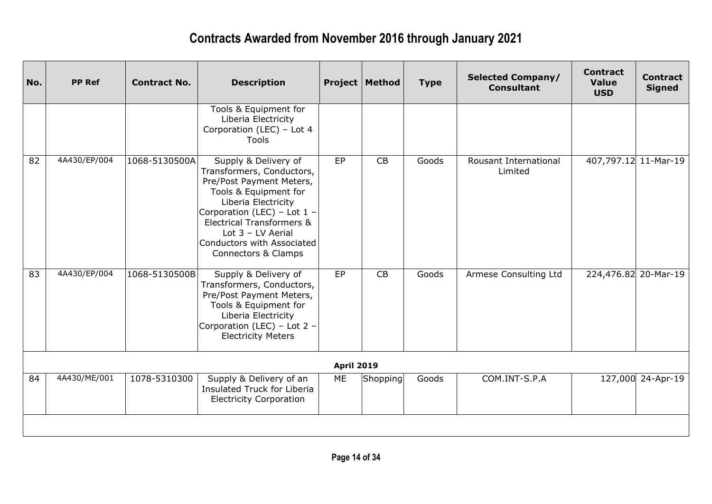| No. | <b>PP Ref</b> | <b>Contract No.</b> | <b>Description</b>                                                                                                                                                                                                                                                    |                   | <b>Project   Method</b> | <b>Type</b> | <b>Selected Company/</b><br><b>Consultant</b> | <b>Contract</b><br><b>Value</b><br><b>USD</b> | <b>Contract</b><br><b>Signed</b> |
|-----|---------------|---------------------|-----------------------------------------------------------------------------------------------------------------------------------------------------------------------------------------------------------------------------------------------------------------------|-------------------|-------------------------|-------------|-----------------------------------------------|-----------------------------------------------|----------------------------------|
|     |               |                     | Tools & Equipment for<br>Liberia Electricity<br>Corporation (LEC) - Lot 4<br><b>Tools</b>                                                                                                                                                                             |                   |                         |             |                                               |                                               |                                  |
| 82  | 4A430/EP/004  | 1068-5130500A       | Supply & Delivery of<br>Transformers, Conductors,<br>Pre/Post Payment Meters,<br>Tools & Equipment for<br>Liberia Electricity<br>Corporation (LEC) - Lot 1 -<br>Electrical Transformers &<br>Lot $3$ – LV Aerial<br>Conductors with Associated<br>Connectors & Clamps | EP                | CB                      | Goods       | Rousant International<br>Limited              | 407,797.12 11-Mar-19                          |                                  |
| 83  | 4A430/EP/004  | 1068-5130500B       | Supply & Delivery of<br>Transformers, Conductors,<br>Pre/Post Payment Meters,<br>Tools & Equipment for<br>Liberia Electricity<br>Corporation (LEC) - Lot 2 -<br><b>Electricity Meters</b>                                                                             | EP                | CB                      | Goods       | Armese Consulting Ltd                         | 224,476.82 20-Mar-19                          |                                  |
|     |               |                     |                                                                                                                                                                                                                                                                       | <b>April 2019</b> |                         |             |                                               |                                               |                                  |
| 84  | 4A430/ME/001  | 1078-5310300        | Supply & Delivery of an<br>Insulated Truck for Liberia<br><b>Electricity Corporation</b>                                                                                                                                                                              | ME                | Shopping                | Goods       | COM.INT-S.P.A                                 |                                               | 127,000 24-Apr-19                |
|     |               |                     |                                                                                                                                                                                                                                                                       |                   |                         |             |                                               |                                               |                                  |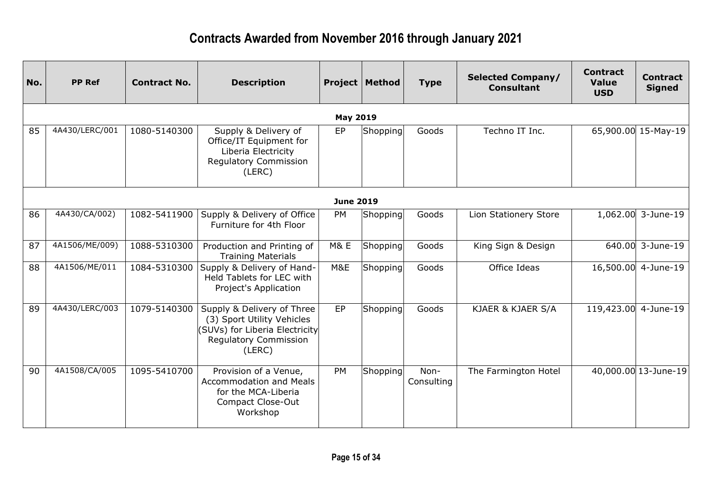| No. | <b>PP Ref</b>  | <b>Contract No.</b> | <b>Description</b>                                                                                                                   |                  | <b>Project   Method</b> | <b>Type</b>        | <b>Selected Company/</b><br><b>Consultant</b> | <b>Contract</b><br><b>Value</b><br><b>USD</b> | <b>Contract</b><br><b>Signed</b> |
|-----|----------------|---------------------|--------------------------------------------------------------------------------------------------------------------------------------|------------------|-------------------------|--------------------|-----------------------------------------------|-----------------------------------------------|----------------------------------|
|     |                |                     |                                                                                                                                      | <b>May 2019</b>  |                         |                    |                                               |                                               |                                  |
| 85  | 4A430/LERC/001 | 1080-5140300        | Supply & Delivery of<br>Office/IT Equipment for<br>Liberia Electricity<br>Regulatory Commission<br>(LERC)                            | EP               | Shopping                | Goods              | Techno IT Inc.                                |                                               | 65,900.00 15-May-19              |
|     |                |                     |                                                                                                                                      | <b>June 2019</b> |                         |                    |                                               |                                               |                                  |
| 86  | 4A430/CA/002)  | 1082-5411900        | Supply & Delivery of Office<br>Furniture for 4th Floor                                                                               | PM               | Shopping                | Goods              | Lion Stationery Store                         |                                               | 1,062.00 3-June-19               |
| 87  | 4A1506/ME/009) | 1088-5310300        | Production and Printing of<br><b>Training Materials</b>                                                                              | <b>M&amp; E</b>  | Shopping                | Goods              | King Sign & Design                            |                                               | 640.00 3-June-19                 |
| 88  | 4A1506/ME/011  | 1084-5310300        | Supply & Delivery of Hand-<br>Held Tablets for LEC with<br>Project's Application                                                     | M&E              | Shopping                | Goods              | Office Ideas                                  |                                               | 16,500.00 4-June-19              |
| 89  | 4A430/LERC/003 | 1079-5140300        | Supply & Delivery of Three<br>(3) Sport Utility Vehicles<br>(SUVs) for Liberia Electricity<br><b>Regulatory Commission</b><br>(LERC) | EP               | Shopping                | Goods              | KJAER & KJAER S/A                             | 119,423.00                                    | 4-June-19                        |
| 90  | 4A1508/CA/005  | 1095-5410700        | Provision of a Venue,<br><b>Accommodation and Meals</b><br>for the MCA-Liberia<br><b>Compact Close-Out</b><br>Workshop               | <b>PM</b>        | Shopping                | Non-<br>Consulting | The Farmington Hotel                          |                                               | 40,000.00 13-June-19             |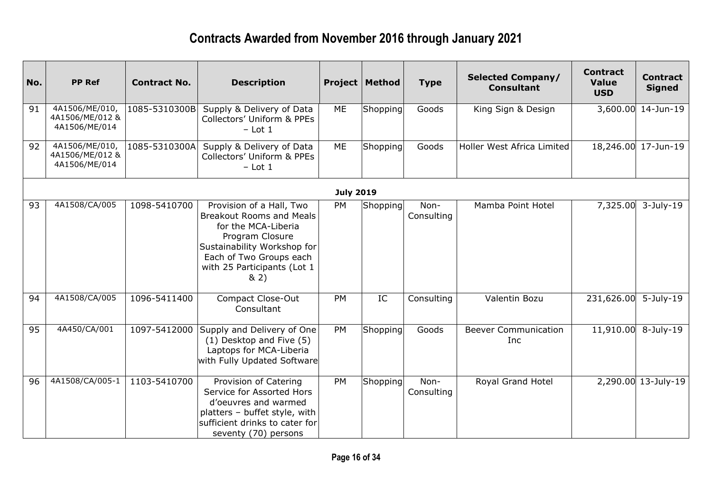| No. | <b>PP Ref</b>                                      | <b>Contract No.</b> | <b>Description</b>                                                                                                                                                                                     |                  | <b>Project   Method</b> | <b>Type</b>        | <b>Selected Company/</b><br><b>Consultant</b> | <b>Contract</b><br><b>Value</b><br><b>USD</b> | <b>Contract</b><br><b>Signed</b> |
|-----|----------------------------------------------------|---------------------|--------------------------------------------------------------------------------------------------------------------------------------------------------------------------------------------------------|------------------|-------------------------|--------------------|-----------------------------------------------|-----------------------------------------------|----------------------------------|
| 91  | 4A1506/ME/010,<br>4A1506/ME/012 &<br>4A1506/ME/014 | 1085-5310300B       | Supply & Delivery of Data<br>Collectors' Uniform & PPEs<br>$-$ Lot 1                                                                                                                                   | ME               | Shopping                | Goods              | King Sign & Design                            |                                               | 3,600.00 14-Jun-19               |
| 92  | 4A1506/ME/010,<br>4A1506/ME/012 &<br>4A1506/ME/014 | 1085-5310300A       | Supply & Delivery of Data<br>Collectors' Uniform & PPEs<br>$-$ Lot 1                                                                                                                                   | ME               | Shopping                | Goods              | Holler West Africa Limited                    |                                               | 18,246.00 17-Jun-19              |
|     |                                                    |                     |                                                                                                                                                                                                        | <b>July 2019</b> |                         |                    |                                               |                                               |                                  |
| 93  | 4A1508/CA/005                                      | 1098-5410700        | Provision of a Hall, Two<br><b>Breakout Rooms and Meals</b><br>for the MCA-Liberia<br>Program Closure<br>Sustainability Workshop for<br>Each of Two Groups each<br>with 25 Participants (Lot 1<br>8(2) | <b>PM</b>        | Shopping                | Non-<br>Consulting | Mamba Point Hotel                             | 7,325.00                                      | $3$ -July-19                     |
| 94  | 4A1508/CA/005                                      | 1096-5411400        | Compact Close-Out<br>Consultant                                                                                                                                                                        | <b>PM</b>        | IC                      | Consulting         | Valentin Bozu                                 | 231,626.00                                    | $5$ -July-19                     |
| 95  | 4A450/CA/001                                       | 1097-5412000        | Supply and Delivery of One<br>(1) Desktop and Five (5)<br>Laptops for MCA-Liberia<br>with Fully Updated Software                                                                                       | <b>PM</b>        | Shopping                | Goods              | <b>Beever Communication</b><br>Inc            | 11,910.00                                     | $8$ -July-19                     |
| 96  | 4A1508/CA/005-1                                    | 1103-5410700        | Provision of Catering<br>Service for Assorted Hors<br>d'oeuvres and warmed<br>platters - buffet style, with<br>sufficient drinks to cater for<br>seventy (70) persons                                  | <b>PM</b>        | Shopping                | Non-<br>Consulting | Royal Grand Hotel                             |                                               | 2,290.00 13-July-19              |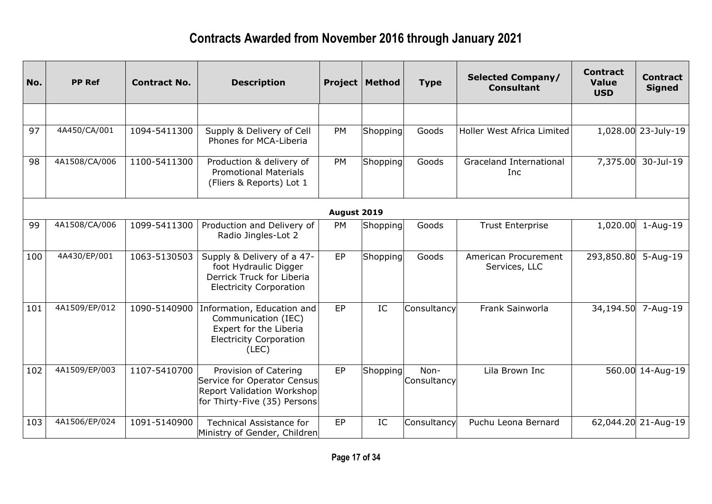| No. | <b>PP Ref</b> | <b>Contract No.</b> | <b>Description</b>                                                                                                        |             | <b>Project   Method</b> | <b>Type</b>         | <b>Selected Company/</b><br><b>Consultant</b> | <b>Contract</b><br><b>Value</b><br><b>USD</b> | <b>Contract</b><br><b>Signed</b> |
|-----|---------------|---------------------|---------------------------------------------------------------------------------------------------------------------------|-------------|-------------------------|---------------------|-----------------------------------------------|-----------------------------------------------|----------------------------------|
|     |               |                     |                                                                                                                           |             |                         |                     |                                               |                                               |                                  |
| 97  | 4A450/CA/001  | 1094-5411300        | Supply & Delivery of Cell<br>Phones for MCA-Liberia                                                                       | <b>PM</b>   | Shopping                | Goods               | Holler West Africa Limited                    |                                               | 1,028.00 23-July-19              |
| 98  | 4A1508/CA/006 | 1100-5411300        | Production & delivery of<br><b>Promotional Materials</b><br>(Fliers & Reports) Lot 1                                      | <b>PM</b>   | Shopping                | Goods               | <b>Graceland International</b><br>Inc         | 7,375.00                                      | 30-Jul-19                        |
|     |               |                     |                                                                                                                           | August 2019 |                         |                     |                                               |                                               |                                  |
| 99  | 4A1508/CA/006 | 1099-5411300        | Production and Delivery of<br>Radio Jingles-Lot 2                                                                         | <b>PM</b>   | Shopping                | Goods               | <b>Trust Enterprise</b>                       | 1,020.00                                      | $1 - Aug-19$                     |
| 100 | 4A430/EP/001  | 1063-5130503        | Supply & Delivery of a 47-<br>foot Hydraulic Digger<br>Derrick Truck for Liberia<br><b>Electricity Corporation</b>        | EP          | Shopping                | Goods               | American Procurement<br>Services, LLC         | 293,850.80                                    | $5 - Aug-19$                     |
| 101 | 4A1509/EP/012 | 1090-5140900        | Information, Education and<br>Communication (IEC)<br>Expert for the Liberia<br><b>Electricity Corporation</b><br>(LEC)    | EP          | IC                      | Consultancy         | Frank Sainworla                               | 34,194.50                                     | 7-Aug-19                         |
| 102 | 4A1509/EP/003 | 1107-5410700        | Provision of Catering<br>Service for Operator Census<br><b>Report Validation Workshop</b><br>for Thirty-Five (35) Persons | EP          | Shopping                | Non-<br>Consultancy | Lila Brown Inc                                |                                               | 560.00 14-Aug-19                 |
| 103 | 4A1506/EP/024 | 1091-5140900        | <b>Technical Assistance for</b><br>Ministry of Gender, Children                                                           | EP          | IC                      | Consultancy         | Puchu Leona Bernard                           |                                               | 62,044.20 21-Aug-19              |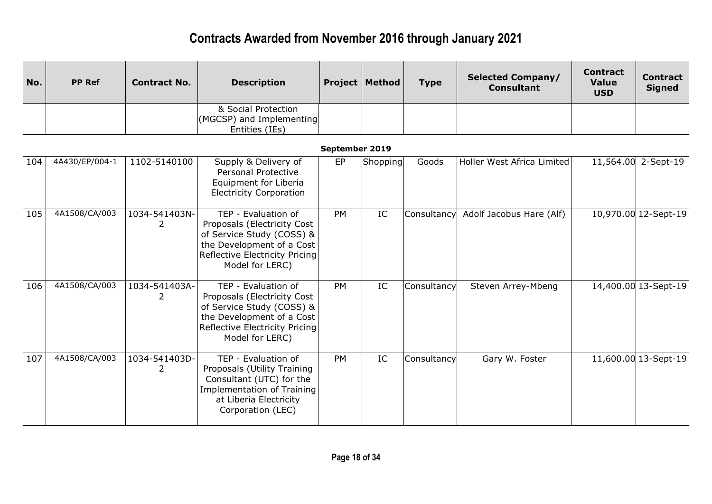| No. | <b>PP Ref</b>  | <b>Contract No.</b> | <b>Description</b>                                                                                                                                                |                | <b>Project   Method</b> | <b>Type</b> | <b>Selected Company/</b><br><b>Consultant</b> | <b>Contract</b><br><b>Value</b><br><b>USD</b> | <b>Contract</b><br><b>Signed</b> |
|-----|----------------|---------------------|-------------------------------------------------------------------------------------------------------------------------------------------------------------------|----------------|-------------------------|-------------|-----------------------------------------------|-----------------------------------------------|----------------------------------|
|     |                |                     | & Social Protection<br>(MGCSP) and Implementing<br>Entities (IEs)                                                                                                 |                |                         |             |                                               |                                               |                                  |
|     |                |                     |                                                                                                                                                                   | September 2019 |                         |             |                                               |                                               |                                  |
| 104 | 4A430/EP/004-1 | 1102-5140100        | Supply & Delivery of<br>Personal Protective<br>Equipment for Liberia<br><b>Electricity Corporation</b>                                                            | EP             | Shopping                | Goods       | Holler West Africa Limited                    |                                               | 11,564.00 2-Sept-19              |
| 105 | 4A1508/CA/003  | 1034-541403N-<br>2  | TEP - Evaluation of<br>Proposals (Electricity Cost<br>of Service Study (COSS) &<br>the Development of a Cost<br>Reflective Electricity Pricing<br>Model for LERC) | <b>PM</b>      | IC                      | Consultancy | Adolf Jacobus Hare (Alf)                      |                                               | 10,970.00 12-Sept-19             |
| 106 | 4A1508/CA/003  | 1034-541403A-<br>2  | TEP - Evaluation of<br>Proposals (Electricity Cost<br>of Service Study (COSS) &<br>the Development of a Cost<br>Reflective Electricity Pricing<br>Model for LERC) | PM             | IC                      | Consultancy | Steven Arrey-Mbeng                            |                                               | 14,400.00 13-Sept-19             |
| 107 | 4A1508/CA/003  | 1034-541403D-<br>2  | TEP - Evaluation of<br>Proposals (Utility Training<br>Consultant (UTC) for the<br>Implementation of Training<br>at Liberia Electricity<br>Corporation (LEC)       | <b>PM</b>      | IC                      | Consultancy | Gary W. Foster                                |                                               | 11,600.00 13-Sept-19             |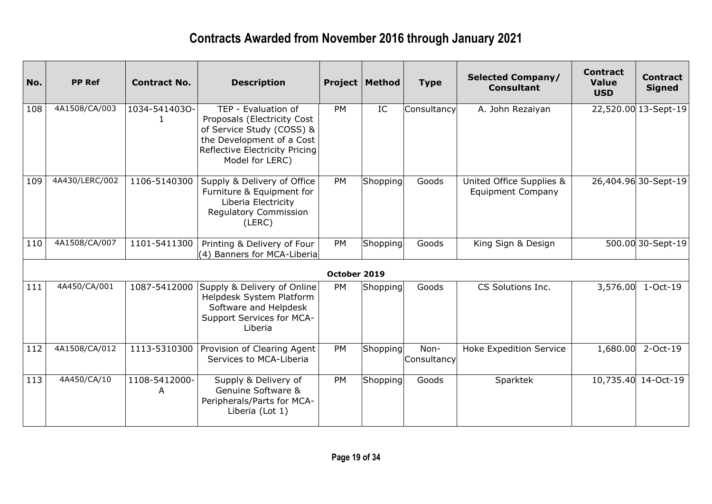| No. | <b>PP Ref</b>  | <b>Contract No.</b> | <b>Description</b>                                                                                                                                                |              | <b>Project   Method</b> | <b>Type</b>         | <b>Selected Company/</b><br><b>Consultant</b>        | <b>Contract</b><br><b>Value</b><br><b>USD</b> | <b>Contract</b><br><b>Signed</b> |
|-----|----------------|---------------------|-------------------------------------------------------------------------------------------------------------------------------------------------------------------|--------------|-------------------------|---------------------|------------------------------------------------------|-----------------------------------------------|----------------------------------|
| 108 | 4A1508/CA/003  | 1034-5414030-       | TEP - Evaluation of<br>Proposals (Electricity Cost<br>of Service Study (COSS) &<br>the Development of a Cost<br>Reflective Electricity Pricing<br>Model for LERC) | <b>PM</b>    | IC                      | Consultancy         | A. John Rezaiyan                                     |                                               | 22,520.00 13-Sept-19             |
| 109 | 4A430/LERC/002 | 1106-5140300        | Supply & Delivery of Office<br>Furniture & Equipment for<br>Liberia Electricity<br><b>Regulatory Commission</b><br>(LERC)                                         | <b>PM</b>    | Shopping                | Goods               | United Office Supplies &<br><b>Equipment Company</b> |                                               | 26,404.96 30-Sept-19             |
| 110 | 4A1508/CA/007  | 1101-5411300        | Printing & Delivery of Four<br>(4) Banners for MCA-Liberia                                                                                                        | PM           | Shopping                | Goods               | King Sign & Design                                   |                                               | 500.00 30-Sept-19                |
|     |                |                     |                                                                                                                                                                   | October 2019 |                         |                     |                                                      |                                               |                                  |
| 111 | 4A450/CA/001   | 1087-5412000        | Supply & Delivery of Online<br>Helpdesk System Platform<br>Software and Helpdesk<br>Support Services for MCA-<br>Liberia                                          | PM           | Shopping                | Goods               | CS Solutions Inc.                                    | 3,576.00                                      | $1-Oct-19$                       |
| 112 | 4A1508/CA/012  | 1113-5310300        | Provision of Clearing Agent<br>Services to MCA-Liberia                                                                                                            | <b>PM</b>    | Shopping                | Non-<br>Consultancy | <b>Hoke Expedition Service</b>                       | 1,680.00                                      | 2-Oct-19                         |
| 113 | 4A450/CA/10    | 1108-5412000-<br>A  | Supply & Delivery of<br>Genuine Software &<br>Peripherals/Parts for MCA-<br>Liberia (Lot 1)                                                                       | <b>PM</b>    | Shopping                | Goods               | Sparktek                                             |                                               | 10,735.40 14-Oct-19              |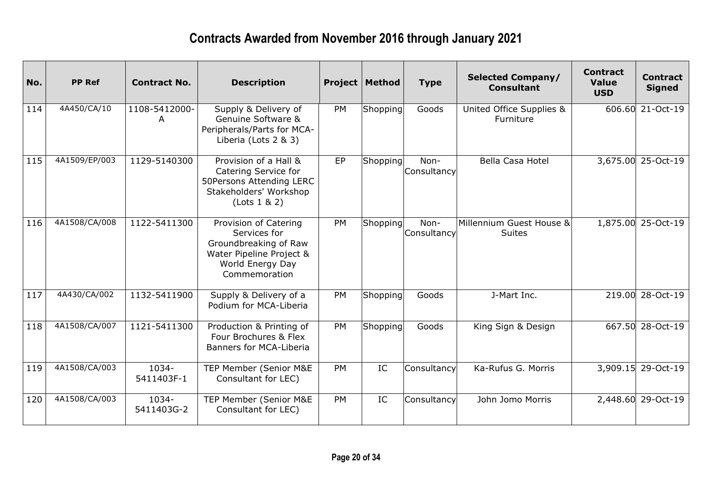| No. | <b>PP Ref</b> | <b>Contract No.</b> | <b>Description</b>                                                                                                              |           | <b>Project   Method</b> | <b>Type</b>         | <b>Selected Company/</b><br><b>Consultant</b> | <b>Contract</b><br><b>Value</b><br><b>USD</b> | <b>Contract</b><br><b>Signed</b> |
|-----|---------------|---------------------|---------------------------------------------------------------------------------------------------------------------------------|-----------|-------------------------|---------------------|-----------------------------------------------|-----------------------------------------------|----------------------------------|
| 114 | 4A450/CA/10   | 1108-5412000-<br>A  | Supply & Delivery of<br>Genuine Software &<br>Peripherals/Parts for MCA-<br>Liberia (Lots 2 & 3)                                | <b>PM</b> | Shopping                | Goods               | United Office Supplies &<br>Furniture         |                                               | 606.60 21-Oct-19                 |
| 115 | 4A1509/EP/003 | 1129-5140300        | Provision of a Hall &<br>Catering Service for<br>50Persons Attending LERC<br>Stakeholders' Workshop<br>(Lots 1 & 2)             | EP        | Shopping                | Non-<br>Consultancy | <b>Bella Casa Hotel</b>                       |                                               | 3,675.00 25-Oct-19               |
| 116 | 4A1508/CA/008 | 1122-5411300        | Provision of Catering<br>Services for<br>Groundbreaking of Raw<br>Water Pipeline Project &<br>World Energy Day<br>Commemoration | PM        | Shopping                | Non-<br>Consultancy | Millennium Guest House &<br><b>Suites</b>     |                                               | 1,875.00 25-Oct-19               |
| 117 | 4A430/CA/002  | 1132-5411900        | Supply & Delivery of a<br>Podium for MCA-Liberia                                                                                | PM        | Shopping                | Goods               | J-Mart Inc.                                   |                                               | 219.00 28-Oct-19                 |
| 118 | 4A1508/CA/007 | 1121-5411300        | Production & Printing of<br>Four Brochures & Flex<br><b>Banners for MCA-Liberia</b>                                             | <b>PM</b> | Shopping                | Goods               | King Sign & Design                            |                                               | 667.50 28-Oct-19                 |
| 119 | 4A1508/CA/003 | 1034-<br>5411403F-1 | TEP Member (Senior M&E<br>Consultant for LEC)                                                                                   | PM        | IC                      | Consultancy         | Ka-Rufus G. Morris                            |                                               | 3,909.15 29-Oct-19               |
| 120 | 4A1508/CA/003 | 1034-<br>5411403G-2 | TEP Member (Senior M&E<br>Consultant for LEC)                                                                                   | PM        | IC                      | Consultancy         | John Jomo Morris                              |                                               | 2,448.60 29-Oct-19               |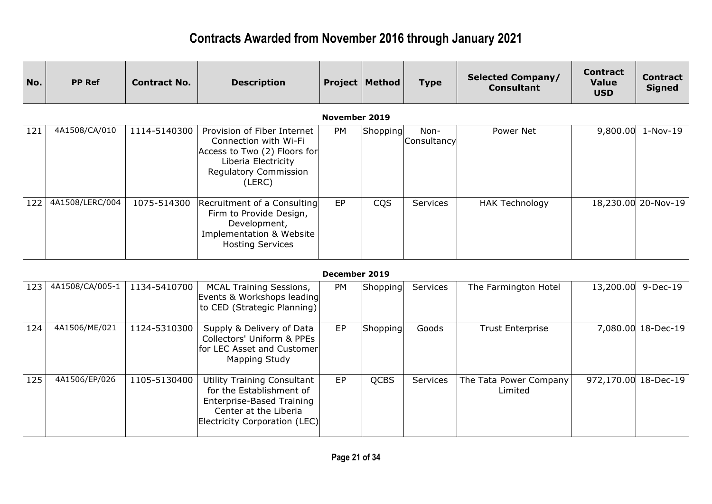| No. | <b>PP Ref</b>   | <b>Contract No.</b> | <b>Description</b>                                                                                                                                           |                      | <b>Project   Method</b> | <b>Type</b>         | <b>Selected Company/</b><br><b>Consultant</b> | <b>Contract</b><br><b>Value</b><br><b>USD</b> | <b>Contract</b><br><b>Signed</b> |
|-----|-----------------|---------------------|--------------------------------------------------------------------------------------------------------------------------------------------------------------|----------------------|-------------------------|---------------------|-----------------------------------------------|-----------------------------------------------|----------------------------------|
|     |                 |                     |                                                                                                                                                              | <b>November 2019</b> |                         |                     |                                               |                                               |                                  |
| 121 | 4A1508/CA/010   | 1114-5140300        | Provision of Fiber Internet<br>Connection with Wi-Fi<br>Access to Two (2) Floors for<br>Liberia Electricity<br><b>Regulatory Commission</b><br>(LERC)        | PM                   | Shopping                | Non-<br>Consultancy | Power Net                                     | 9,800.00                                      | $1-Nov-19$                       |
| 122 | 4A1508/LERC/004 | 1075-514300         | Recruitment of a Consulting<br>Firm to Provide Design,<br>Development,<br>Implementation & Website<br><b>Hosting Services</b>                                | EP                   | <b>CQS</b>              | Services            | <b>HAK Technology</b>                         |                                               | 18,230.00 20-Nov-19              |
|     |                 |                     |                                                                                                                                                              | December 2019        |                         |                     |                                               |                                               |                                  |
| 123 | 4A1508/CA/005-1 | 1134-5410700        | <b>MCAL Training Sessions,</b><br>Events & Workshops leading<br>to CED (Strategic Planning)                                                                  | <b>PM</b>            | Shopping                | Services            | The Farmington Hotel                          | 13,200.00                                     | 9-Dec-19                         |
| 124 | 4A1506/ME/021   | 1124-5310300        | Supply & Delivery of Data<br>Collectors' Uniform & PPEs<br>for LEC Asset and Customer<br>Mapping Study                                                       | <b>EP</b>            | Shopping                | Goods               | <b>Trust Enterprise</b>                       |                                               | 7,080.00 18-Dec-19               |
| 125 | 4A1506/EP/026   | 1105-5130400        | <b>Utility Training Consultant</b><br>for the Establishment of<br><b>Enterprise-Based Training</b><br>Center at the Liberia<br>Electricity Corporation (LEC) | EP                   | <b>QCBS</b>             | Services            | The Tata Power Company<br>Limited             | 972,170.00                                    | 18-Dec-19                        |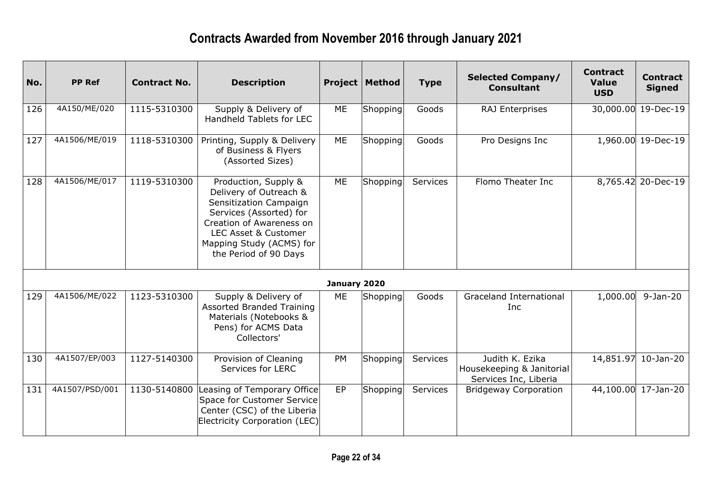| No. | <b>PP Ref</b>  | <b>Contract No.</b> | <b>Description</b>                                                                                                                                                                                                      |              | <b>Project   Method</b> | <b>Type</b> | <b>Selected Company/</b><br><b>Consultant</b>                         | <b>Contract</b><br><b>Value</b><br><b>USD</b> | <b>Contract</b><br><b>Signed</b> |
|-----|----------------|---------------------|-------------------------------------------------------------------------------------------------------------------------------------------------------------------------------------------------------------------------|--------------|-------------------------|-------------|-----------------------------------------------------------------------|-----------------------------------------------|----------------------------------|
| 126 | 4A150/ME/020   | 1115-5310300        | Supply & Delivery of<br>Handheld Tablets for LEC                                                                                                                                                                        | ME           | Shopping                | Goods       | RAJ Enterprises                                                       |                                               | 30,000.00 19-Dec-19              |
| 127 | 4A1506/ME/019  | 1118-5310300        | Printing, Supply & Delivery<br>of Business & Flyers<br>(Assorted Sizes)                                                                                                                                                 | ME           | Shopping                | Goods       | Pro Designs Inc                                                       |                                               | 1,960.00 19-Dec-19               |
| 128 | 4A1506/ME/017  | 1119-5310300        | Production, Supply &<br>Delivery of Outreach &<br>Sensitization Campaign<br>Services (Assorted) for<br>Creation of Awareness on<br><b>LEC Asset &amp; Customer</b><br>Mapping Study (ACMS) for<br>the Period of 90 Days | ME           | Shopping                | Services    | Flomo Theater Inc                                                     |                                               | 8,765.42 20-Dec-19               |
|     |                |                     |                                                                                                                                                                                                                         | January 2020 |                         |             |                                                                       |                                               |                                  |
| 129 | 4A1506/ME/022  | 1123-5310300        | Supply & Delivery of<br><b>Assorted Branded Training</b><br>Materials (Notebooks &<br>Pens) for ACMS Data<br>Collectors'                                                                                                | ME           | Shopping                | Goods       | <b>Graceland International</b><br>Inc                                 | 1,000.00                                      | $9-Jan-20$                       |
| 130 | 4A1507/EP/003  | 1127-5140300        | Provision of Cleaning<br>Services for LERC                                                                                                                                                                              | PM           | Shopping                | Services    | Judith K. Ezika<br>Housekeeping & Janitorial<br>Services Inc, Liberia |                                               | 14,851.97 10-Jan-20              |
| 131 | 4A1507/PSD/001 | 1130-5140800        | Leasing of Temporary Office<br>Space for Customer Service<br>Center (CSC) of the Liberia<br>Electricity Corporation (LEC)                                                                                               | EP           | Shopping                | Services    | <b>Bridgeway Corporation</b>                                          |                                               | 44,100.00 17-Jan-20              |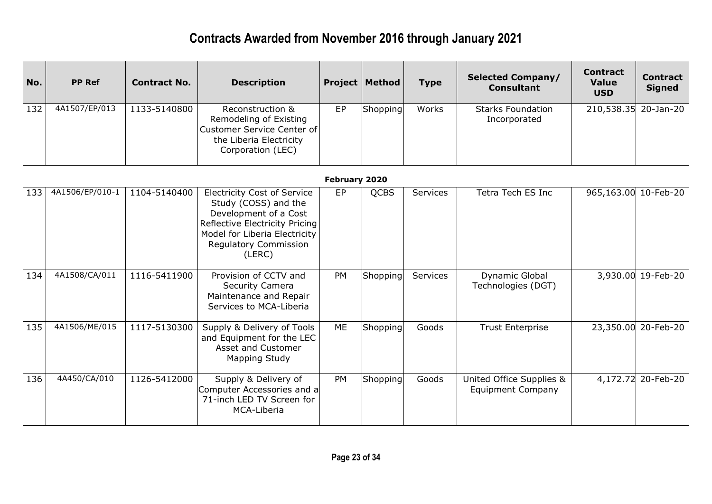| No. | <b>PP Ref</b>   | <b>Contract No.</b> | <b>Description</b>                                                                                                                                                                        |               | <b>Project   Method</b> | <b>Type</b> | <b>Selected Company/</b><br><b>Consultant</b>        | <b>Contract</b><br><b>Value</b><br><b>USD</b> | <b>Contract</b><br><b>Signed</b> |
|-----|-----------------|---------------------|-------------------------------------------------------------------------------------------------------------------------------------------------------------------------------------------|---------------|-------------------------|-------------|------------------------------------------------------|-----------------------------------------------|----------------------------------|
| 132 | 4A1507/EP/013   | 1133-5140800        | Reconstruction &<br>Remodeling of Existing<br><b>Customer Service Center of</b><br>the Liberia Electricity<br>Corporation (LEC)                                                           | <b>EP</b>     | Shopping                | Works       | <b>Starks Foundation</b><br>Incorporated             | 210,538.35 20-Jan-20                          |                                  |
|     |                 |                     |                                                                                                                                                                                           | February 2020 |                         |             |                                                      |                                               |                                  |
| 133 | 4A1506/EP/010-1 | 1104-5140400        | <b>Electricity Cost of Service</b><br>Study (COSS) and the<br>Development of a Cost<br>Reflective Electricity Pricing<br>Model for Liberia Electricity<br>Regulatory Commission<br>(LERC) | <b>EP</b>     | <b>QCBS</b>             | Services    | Tetra Tech ES Inc                                    | 965,163.00 10-Feb-20                          |                                  |
| 134 | 4A1508/CA/011   | 1116-5411900        | Provision of CCTV and<br>Security Camera<br>Maintenance and Repair<br>Services to MCA-Liberia                                                                                             | PM            | Shopping                | Services    | Dynamic Global<br>Technologies (DGT)                 |                                               | 3,930.00 19-Feb-20               |
| 135 | 4A1506/ME/015   | 1117-5130300        | Supply & Delivery of Tools<br>and Equipment for the LEC<br>Asset and Customer<br>Mapping Study                                                                                            | ME            | Shopping                | Goods       | <b>Trust Enterprise</b>                              |                                               | 23,350.00 20-Feb-20              |
| 136 | 4A450/CA/010    | 1126-5412000        | Supply & Delivery of<br>Computer Accessories and a<br>71-inch LED TV Screen for<br>MCA-Liberia                                                                                            | PM            | Shopping                | Goods       | United Office Supplies &<br><b>Equipment Company</b> |                                               | 4,172.72 20-Feb-20               |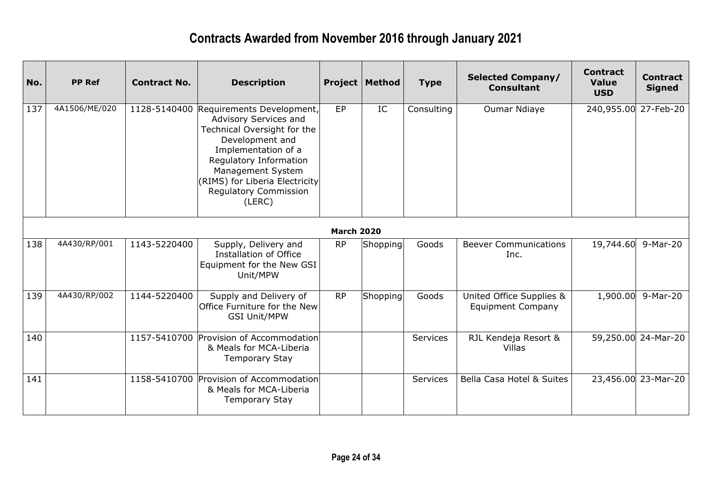| No. | <b>PP Ref</b> | <b>Contract No.</b> | <b>Description</b>                                                                                                                                                                                                                                     |                   | <b>Project   Method</b> | <b>Type</b>     | <b>Selected Company/</b><br><b>Consultant</b>        | <b>Contract</b><br><b>Value</b><br><b>USD</b> | <b>Contract</b><br><b>Signed</b> |
|-----|---------------|---------------------|--------------------------------------------------------------------------------------------------------------------------------------------------------------------------------------------------------------------------------------------------------|-------------------|-------------------------|-----------------|------------------------------------------------------|-----------------------------------------------|----------------------------------|
| 137 | 4A1506/ME/020 | 1128-5140400        | Requirements Development,<br>Advisory Services and<br>Technical Oversight for the<br>Development and<br>Implementation of a<br>Regulatory Information<br>Management System<br>(RIMS) for Liberia Electricity<br><b>Regulatory Commission</b><br>(LERC) | EP                | IC                      | Consulting      | Oumar Ndiaye                                         | 240,955.00                                    | 27-Feb-20                        |
|     |               |                     |                                                                                                                                                                                                                                                        | <b>March 2020</b> |                         |                 |                                                      |                                               |                                  |
| 138 | 4A430/RP/001  | 1143-5220400        | Supply, Delivery and<br>Installation of Office<br>Equipment for the New GSI<br>Unit/MPW                                                                                                                                                                | <b>RP</b>         | Shopping                | Goods           | <b>Beever Communications</b><br>Inc.                 | 19,744.60                                     | 9-Mar-20                         |
| 139 | 4A430/RP/002  | 1144-5220400        | Supply and Delivery of<br>Office Furniture for the New<br><b>GSI Unit/MPW</b>                                                                                                                                                                          | <b>RP</b>         | Shopping                | Goods           | United Office Supplies &<br><b>Equipment Company</b> | 1,900.00                                      | 9-Mar-20                         |
| 140 |               |                     | 1157-5410700 Provision of Accommodation<br>& Meals for MCA-Liberia<br><b>Temporary Stay</b>                                                                                                                                                            |                   |                         | <b>Services</b> | RJL Kendeja Resort &<br>Villas                       |                                               | 59,250.00 24-Mar-20              |
| 141 |               |                     | 1158-5410700 Provision of Accommodation<br>& Meals for MCA-Liberia<br><b>Temporary Stay</b>                                                                                                                                                            |                   |                         | <b>Services</b> | Bella Casa Hotel & Suites                            |                                               | 23,456.00 23-Mar-20              |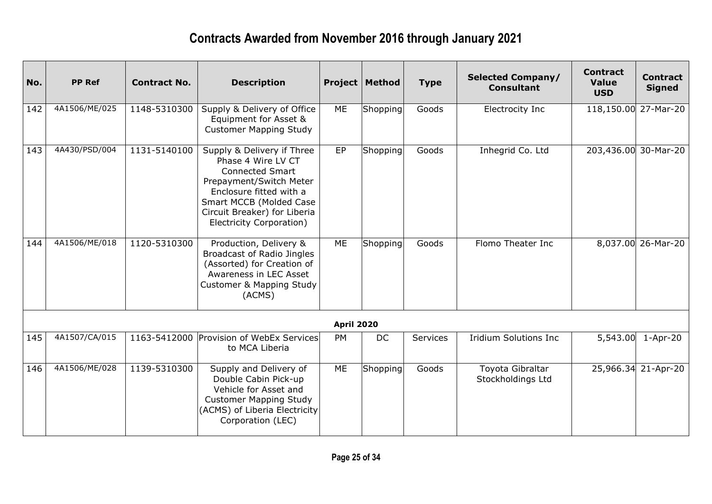| No. | <b>PP Ref</b> | <b>Contract No.</b> | <b>Description</b>                                                                                                                                                                                                      |                   | <b>Project   Method</b> | <b>Type</b> | <b>Selected Company/</b><br><b>Consultant</b> | <b>Contract</b><br><b>Value</b><br><b>USD</b> | <b>Contract</b><br><b>Signed</b> |
|-----|---------------|---------------------|-------------------------------------------------------------------------------------------------------------------------------------------------------------------------------------------------------------------------|-------------------|-------------------------|-------------|-----------------------------------------------|-----------------------------------------------|----------------------------------|
| 142 | 4A1506/ME/025 | 1148-5310300        | Supply & Delivery of Office<br>Equipment for Asset &<br><b>Customer Mapping Study</b>                                                                                                                                   | ME                | Shopping                | Goods       | <b>Electrocity Inc</b>                        | 118,150.00 27-Mar-20                          |                                  |
| 143 | 4A430/PSD/004 | 1131-5140100        | Supply & Delivery if Three<br>Phase 4 Wire LV CT<br><b>Connected Smart</b><br>Prepayment/Switch Meter<br>Enclosure fitted with a<br>Smart MCCB (Molded Case<br>Circuit Breaker) for Liberia<br>Electricity Corporation) | EP                | Shopping                | Goods       | Inhegrid Co. Ltd                              | 203,436.00 30-Mar-20                          |                                  |
| 144 | 4A1506/ME/018 | 1120-5310300        | Production, Delivery &<br>Broadcast of Radio Jingles<br>(Assorted) for Creation of<br>Awareness in LEC Asset<br><b>Customer &amp; Mapping Study</b><br>(ACMS)                                                           | ME                | Shopping                | Goods       | Flomo Theater Inc                             |                                               | 8,037.00 26-Mar-20               |
|     |               |                     |                                                                                                                                                                                                                         | <b>April 2020</b> |                         |             |                                               |                                               |                                  |
| 145 | 4A1507/CA/015 |                     | 1163-5412000 Provision of WebEx Services<br>to MCA Liberia                                                                                                                                                              | <b>PM</b>         | <b>DC</b>               | Services    | <b>Iridium Solutions Inc</b>                  | 5,543.00                                      | $1-Apr-20$                       |
| 146 | 4A1506/ME/028 | 1139-5310300        | Supply and Delivery of<br>Double Cabin Pick-up<br>Vehicle for Asset and<br><b>Customer Mapping Study</b><br>(ACMS) of Liberia Electricity<br>Corporation (LEC)                                                          | ME                | Shopping                | Goods       | Toyota Gibraltar<br>Stockholdings Ltd         |                                               | 25,966.34 21-Apr-20              |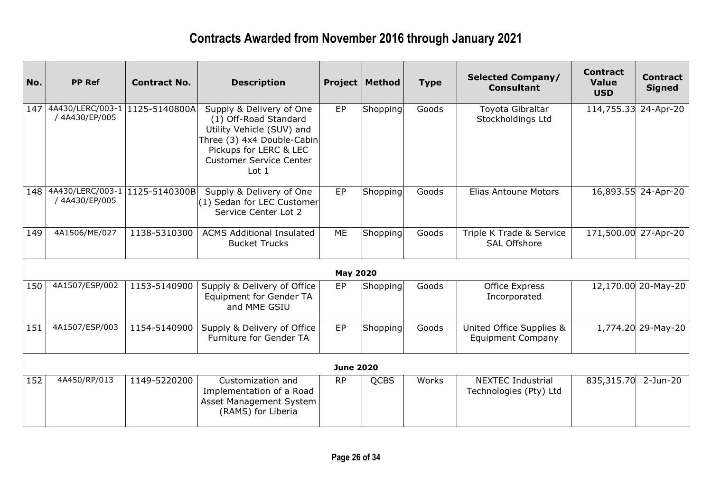| No. | <b>PP Ref</b>                                     | <b>Contract No.</b> | <b>Description</b>                                                                                                                                                                           |                  | <b>Project   Method</b> | <b>Type</b> | <b>Selected Company/</b><br><b>Consultant</b>        | <b>Contract</b><br><b>Value</b><br><b>USD</b> | <b>Contract</b><br><b>Signed</b> |
|-----|---------------------------------------------------|---------------------|----------------------------------------------------------------------------------------------------------------------------------------------------------------------------------------------|------------------|-------------------------|-------------|------------------------------------------------------|-----------------------------------------------|----------------------------------|
| 147 | 4A430/LERC/003-1  1125-5140800A<br>/ 4A430/EP/005 |                     | Supply & Delivery of One<br>(1) Off-Road Standard<br>Utility Vehicle (SUV) and<br>Three (3) 4x4 Double-Cabin<br>Pickups for LERC & LEC<br><b>Customer Service Center</b><br>Lot <sub>1</sub> | EP               | Shopping                | Goods       | Toyota Gibraltar<br>Stockholdings Ltd                | 114,755.33                                    | 24-Apr-20                        |
| 148 | 4A430/LERC/003-1 1125-5140300B<br>/ 4A430/EP/005  |                     | Supply & Delivery of One<br>(1) Sedan for LEC Customer<br>Service Center Lot 2                                                                                                               | EP               | Shopping                | Goods       | Elias Antoune Motors                                 |                                               | 16,893.55 24-Apr-20              |
| 149 | 4A1506/ME/027                                     | 1138-5310300        | <b>ACMS Additional Insulated</b><br><b>Bucket Trucks</b>                                                                                                                                     | ME               | Shopping                | Goods       | Triple K Trade & Service<br><b>SAL Offshore</b>      | 171,500.00 27-Apr-20                          |                                  |
|     |                                                   |                     |                                                                                                                                                                                              | <b>May 2020</b>  |                         |             |                                                      |                                               |                                  |
| 150 | 4A1507/ESP/002                                    | 1153-5140900        | Supply & Delivery of Office<br><b>Equipment for Gender TA</b><br>and MME GSIU                                                                                                                | EP               | Shopping                | Goods       | Office Express<br>Incorporated                       |                                               | 12,170.00 20-May-20              |
| 151 | 4A1507/ESP/003                                    | 1154-5140900        | Supply & Delivery of Office<br><b>Furniture for Gender TA</b>                                                                                                                                | EP               | Shopping                | Goods       | United Office Supplies &<br><b>Equipment Company</b> |                                               | 1,774.20 29-May-20               |
|     |                                                   |                     |                                                                                                                                                                                              | <b>June 2020</b> |                         |             |                                                      |                                               |                                  |
| 152 | 4A450/RP/013                                      | 1149-5220200        | Customization and<br>Implementation of a Road<br>Asset Management System<br>(RAMS) for Liberia                                                                                               | <b>RP</b>        | <b>QCBS</b>             | Works       | <b>NEXTEC Industrial</b><br>Technologies (Pty) Ltd   | 835,315.70                                    | $2-Jun-20$                       |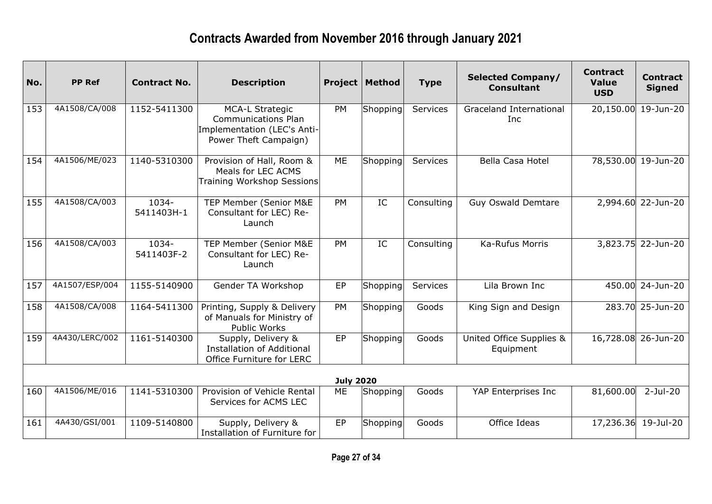| No. | <b>PP Ref</b>  | <b>Contract No.</b> | <b>Description</b>                                                                                           |                  | <b>Project   Method</b> | <b>Type</b> | <b>Selected Company/</b><br><b>Consultant</b> | <b>Contract</b><br><b>Value</b><br><b>USD</b> | <b>Contract</b><br><b>Signed</b> |
|-----|----------------|---------------------|--------------------------------------------------------------------------------------------------------------|------------------|-------------------------|-------------|-----------------------------------------------|-----------------------------------------------|----------------------------------|
| 153 | 4A1508/CA/008  | 1152-5411300        | <b>MCA-L Strategic</b><br><b>Communications Plan</b><br>Implementation (LEC's Anti-<br>Power Theft Campaign) | <b>PM</b>        | Shopping                | Services    | <b>Graceland International</b><br><b>Inc</b>  |                                               | 20,150.00 19-Jun-20              |
| 154 | 4A1506/ME/023  | 1140-5310300        | Provision of Hall, Room &<br>Meals for LEC ACMS<br>Training Workshop Sessions                                | ME               | Shopping                | Services    | Bella Casa Hotel                              |                                               | 78,530.00 19-Jun-20              |
| 155 | 4A1508/CA/003  | 1034-<br>5411403H-1 | TEP Member (Senior M&E<br>Consultant for LEC) Re-<br>Launch                                                  | <b>PM</b>        | IC                      | Consulting  | <b>Guy Oswald Demtare</b>                     |                                               | 2,994.60 22-Jun-20               |
| 156 | 4A1508/CA/003  | 1034-<br>5411403F-2 | TEP Member (Senior M&E<br>Consultant for LEC) Re-<br>Launch                                                  | <b>PM</b>        | IC                      | Consulting  | Ka-Rufus Morris                               |                                               | 3,823.75 22-Jun-20               |
| 157 | 4A1507/ESP/004 | 1155-5140900        | Gender TA Workshop                                                                                           | EP               | Shopping                | Services    | Lila Brown Inc                                |                                               | 450.00 24-Jun-20                 |
| 158 | 4A1508/CA/008  | 1164-5411300        | Printing, Supply & Delivery<br>of Manuals for Ministry of<br>Public Works                                    | PM               | Shopping                | Goods       | King Sign and Design                          |                                               | 283.70 25-Jun-20                 |
| 159 | 4A430/LERC/002 | 1161-5140300        | Supply, Delivery &<br><b>Installation of Additional</b><br>Office Furniture for LERC                         | EP               | Shopping                | Goods       | United Office Supplies &<br>Equipment         |                                               | 16,728.08 26-Jun-20              |
|     |                |                     |                                                                                                              | <b>July 2020</b> |                         |             |                                               |                                               |                                  |
| 160 | 4A1506/ME/016  | 1141-5310300        | Provision of Vehicle Rental<br>Services for ACMS LEC                                                         | ME               | Shopping                | Goods       | YAP Enterprises Inc                           | 81,600.00                                     | $2-Jul-20$                       |
| 161 | 4A430/GSI/001  | 1109-5140800        | Supply, Delivery &<br>Installation of Furniture for                                                          | EP               | Shopping                | Goods       | Office Ideas                                  |                                               | 17,236.36 19-Jul-20              |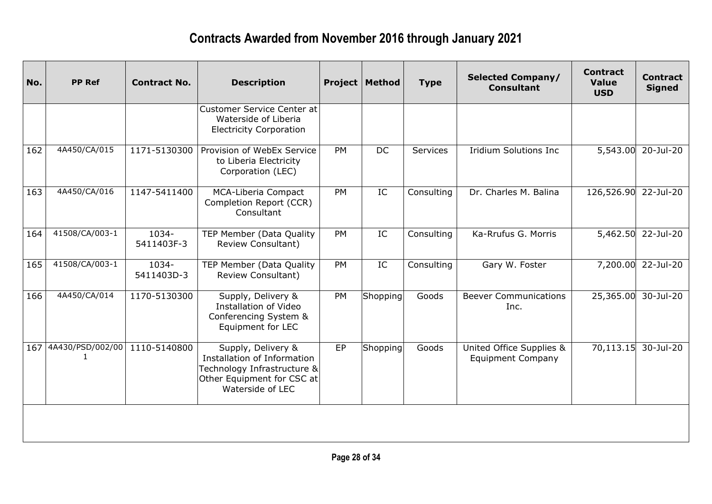| No. | <b>PP Ref</b>        | <b>Contract No.</b> | <b>Description</b>                                                                                                                 |           | <b>Project   Method</b> | <b>Type</b> | <b>Selected Company/</b><br><b>Consultant</b>        | <b>Contract</b><br><b>Value</b><br><b>USD</b> | <b>Contract</b><br><b>Signed</b> |
|-----|----------------------|---------------------|------------------------------------------------------------------------------------------------------------------------------------|-----------|-------------------------|-------------|------------------------------------------------------|-----------------------------------------------|----------------------------------|
|     |                      |                     | Customer Service Center at<br>Waterside of Liberia<br><b>Electricity Corporation</b>                                               |           |                         |             |                                                      |                                               |                                  |
| 162 | 4A450/CA/015         | 1171-5130300        | Provision of WebEx Service<br>to Liberia Electricity<br>Corporation (LEC)                                                          | PM        | <b>DC</b>               | Services    | <b>Iridium Solutions Inc</b>                         | 5,543.00                                      | 20-Jul-20                        |
| 163 | 4A450/CA/016         | 1147-5411400        | <b>MCA-Liberia Compact</b><br>Completion Report (CCR)<br>Consultant                                                                | <b>PM</b> | IC                      | Consulting  | Dr. Charles M. Balina                                | 126,526.90                                    | 22-Jul-20                        |
| 164 | 41508/CA/003-1       | 1034-<br>5411403F-3 | TEP Member (Data Quality<br>Review Consultant)                                                                                     | PM        | IC                      | Consulting  | Ka-Rrufus G. Morris                                  |                                               | 5,462.50 22-Jul-20               |
| 165 | 41508/CA/003-1       | 1034-<br>5411403D-3 | TEP Member (Data Quality<br>Review Consultant)                                                                                     | <b>PM</b> | IC                      | Consulting  | Gary W. Foster                                       |                                               | 7,200.00 22-Jul-20               |
| 166 | 4A450/CA/014         | 1170-5130300        | Supply, Delivery &<br>Installation of Video<br>Conferencing System &<br>Equipment for LEC                                          | PM        | Shopping                | Goods       | <b>Beever Communications</b><br>Inc.                 | 25,365.00                                     | 30-Jul-20                        |
|     | 167 4A430/PSD/002/00 | 1110-5140800        | Supply, Delivery &<br>Installation of Information<br>Technology Infrastructure &<br>Other Equipment for CSC at<br>Waterside of LEC | EP        | Shopping                | Goods       | United Office Supplies &<br><b>Equipment Company</b> | 70,113.15                                     | 30-Jul-20                        |
|     |                      |                     |                                                                                                                                    |           |                         |             |                                                      |                                               |                                  |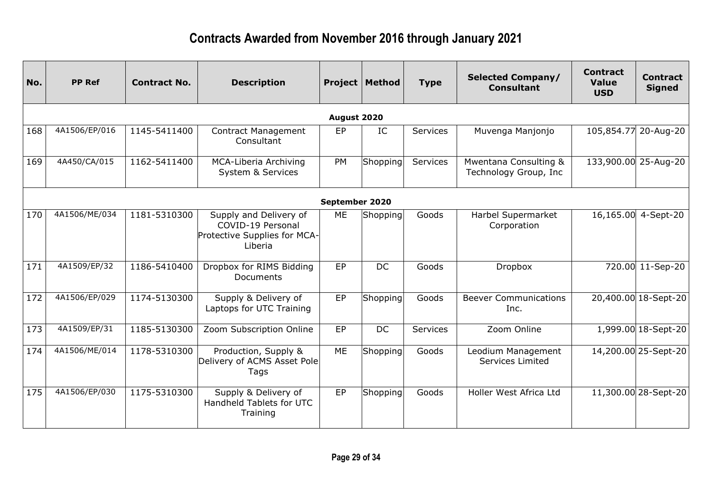| No. | <b>PP Ref</b> | <b>Contract No.</b> | <b>Description</b>                                                                     |                | <b>Project   Method</b> | <b>Type</b> | <b>Selected Company/</b><br><b>Consultant</b>  | <b>Contract</b><br><b>Value</b><br><b>USD</b> | <b>Contract</b><br><b>Signed</b> |
|-----|---------------|---------------------|----------------------------------------------------------------------------------------|----------------|-------------------------|-------------|------------------------------------------------|-----------------------------------------------|----------------------------------|
|     |               |                     |                                                                                        | August 2020    |                         |             |                                                |                                               |                                  |
| 168 | 4A1506/EP/016 | 1145-5411400        | <b>Contract Management</b><br>Consultant                                               | EP             | IC                      | Services    | Muvenga Manjonjo                               |                                               | 105,854.77 20-Aug-20             |
| 169 | 4A450/CA/015  | 1162-5411400        | MCA-Liberia Archiving<br><b>System &amp; Services</b>                                  | PM             | Shopping                | Services    | Mwentana Consulting &<br>Technology Group, Inc |                                               | 133,900.00 25-Aug-20             |
|     |               |                     |                                                                                        | September 2020 |                         |             |                                                |                                               |                                  |
| 170 | 4A1506/ME/034 | 1181-5310300        | Supply and Delivery of<br>COVID-19 Personal<br>Protective Supplies for MCA-<br>Liberia | ME             | Shopping                | Goods       | Harbel Supermarket<br>Corporation              |                                               | 16,165.00 4-Sept-20              |
| 171 | 4A1509/EP/32  | 1186-5410400        | Dropbox for RIMS Bidding<br>Documents                                                  | EP             | DC                      | Goods       | Dropbox                                        |                                               | 720.00 11-Sep-20                 |
| 172 | 4A1506/EP/029 | 1174-5130300        | Supply & Delivery of<br>Laptops for UTC Training                                       | EP             | Shopping                | Goods       | <b>Beever Communications</b><br>Inc.           |                                               | 20,400.00 18-Sept-20             |
| 173 | 4A1509/EP/31  | 1185-5130300        | Zoom Subscription Online                                                               | EP             | DC                      | Services    | Zoom Online                                    |                                               | 1,999.00 18-Sept-20              |
| 174 | 4A1506/ME/014 | 1178-5310300        | Production, Supply &<br>Delivery of ACMS Asset Pole<br>Tags                            | <b>ME</b>      | Shopping                | Goods       | Leodium Management<br>Services Limited         |                                               | 14,200.00 25-Sept-20             |
| 175 | 4A1506/EP/030 | 1175-5310300        | Supply & Delivery of<br>Handheld Tablets for UTC<br>Training                           | EP             | Shopping                | Goods       | Holler West Africa Ltd                         |                                               | 11,300.00 28-Sept-20             |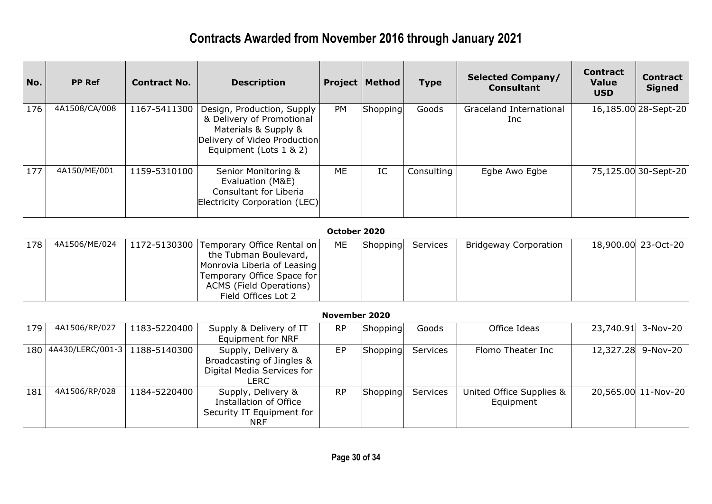| No. | <b>PP Ref</b>    | <b>Contract No.</b> | <b>Description</b>                                                                                                                                                        |               | <b>Project   Method</b> | <b>Type</b> | <b>Selected Company/</b><br><b>Consultant</b> | <b>Contract</b><br><b>Value</b><br><b>USD</b> | <b>Contract</b><br><b>Signed</b> |
|-----|------------------|---------------------|---------------------------------------------------------------------------------------------------------------------------------------------------------------------------|---------------|-------------------------|-------------|-----------------------------------------------|-----------------------------------------------|----------------------------------|
| 176 | 4A1508/CA/008    | 1167-5411300        | Design, Production, Supply<br>& Delivery of Promotional<br>Materials & Supply &<br>Delivery of Video Production<br>Equipment (Lots 1 & 2)                                 | PM            | Shopping                | Goods       | Graceland International<br>Inc                |                                               | 16,185.00 28-Sept-20             |
| 177 | 4A150/ME/001     | 1159-5310100        | Senior Monitoring &<br>Evaluation (M&E)<br>Consultant for Liberia<br>Electricity Corporation (LEC)                                                                        | <b>ME</b>     | IC                      | Consulting  | Egbe Awo Egbe                                 |                                               | 75,125.00 30-Sept-20             |
|     |                  |                     |                                                                                                                                                                           | October 2020  |                         |             |                                               |                                               |                                  |
| 178 | 4A1506/ME/024    | 1172-5130300        | Temporary Office Rental on<br>the Tubman Boulevard,<br>Monrovia Liberia of Leasing<br>Temporary Office Space for<br><b>ACMS (Field Operations)</b><br>Field Offices Lot 2 | ME            | Shopping                | Services    | <b>Bridgeway Corporation</b>                  |                                               | 18,900.00 23-Oct-20              |
|     |                  |                     |                                                                                                                                                                           | November 2020 |                         |             |                                               |                                               |                                  |
| 179 | 4A1506/RP/027    | 1183-5220400        | Supply & Delivery of IT<br><b>Equipment for NRF</b>                                                                                                                       | <b>RP</b>     | Shopping                | Goods       | Office Ideas                                  | 23,740.91                                     | 3-Nov-20                         |
| 180 | 4A430/LERC/001-3 | 1188-5140300        | Supply, Delivery &<br>Broadcasting of Jingles &<br>Digital Media Services for<br><b>LERC</b>                                                                              | EP            | Shopping                | Services    | Flomo Theater Inc                             | 12,327.28                                     | $9-Nov-20$                       |
| 181 | 4A1506/RP/028    | 1184-5220400        | Supply, Delivery &<br>Installation of Office<br>Security IT Equipment for<br><b>NRF</b>                                                                                   | <b>RP</b>     | Shopping                | Services    | United Office Supplies &<br>Equipment         |                                               | 20,565.00 11-Nov-20              |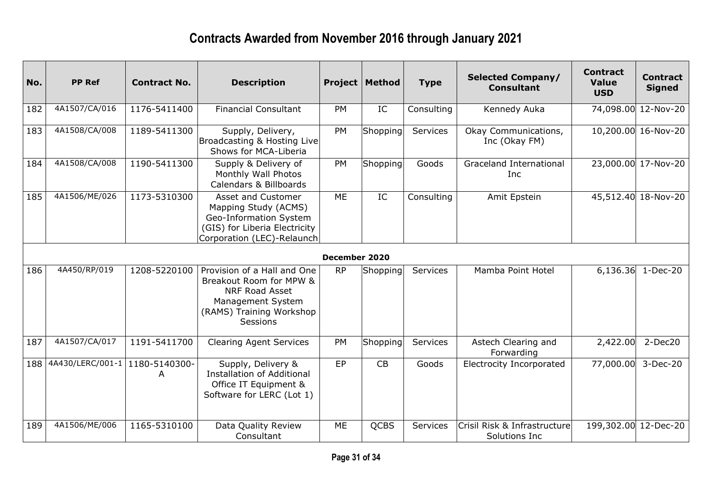| No. | <b>PP Ref</b>                    | <b>Contract No.</b> | <b>Description</b>                                                                                                                                  |               | <b>Project   Method</b> | <b>Type</b> | <b>Selected Company/</b><br><b>Consultant</b> | <b>Contract</b><br><b>Value</b><br><b>USD</b> | <b>Contract</b><br><b>Signed</b> |
|-----|----------------------------------|---------------------|-----------------------------------------------------------------------------------------------------------------------------------------------------|---------------|-------------------------|-------------|-----------------------------------------------|-----------------------------------------------|----------------------------------|
| 182 | 4A1507/CA/016                    | 1176-5411400        | <b>Financial Consultant</b>                                                                                                                         | PM            | IC                      | Consulting  | Kennedy Auka                                  |                                               | 74,098.00 12-Nov-20              |
| 183 | 4A1508/CA/008                    | 1189-5411300        | Supply, Delivery,<br>Broadcasting & Hosting Live<br>Shows for MCA-Liberia                                                                           | PM            | Shopping                | Services    | Okay Communications,<br>Inc (Okay FM)         |                                               | 10,200.00 16-Nov-20              |
| 184 | 4A1508/CA/008                    | 1190-5411300        | Supply & Delivery of<br>Monthly Wall Photos<br>Calendars & Billboards                                                                               | <b>PM</b>     | Shopping                | Goods       | <b>Graceland International</b><br>Inc         |                                               | 23,000.00 17-Nov-20              |
| 185 | 4A1506/ME/026                    | 1173-5310300        | Asset and Customer<br>Mapping Study (ACMS)<br>Geo-Information System<br>(GIS) for Liberia Electricity<br>Corporation (LEC)-Relaunch                 | <b>ME</b>     | IC                      | Consulting  | Amit Epstein                                  |                                               | 45,512.40 18-Nov-20              |
|     |                                  |                     |                                                                                                                                                     | December 2020 |                         |             |                                               |                                               |                                  |
| 186 | 4A450/RP/019                     | 1208-5220100        | Provision of a Hall and One<br>Breakout Room for MPW &<br><b>NRF Road Asset</b><br>Management System<br>(RAMS) Training Workshop<br><b>Sessions</b> | <b>RP</b>     | Shopping                | Services    | Mamba Point Hotel                             | 6,136.36                                      | $1 - Dec-20$                     |
| 187 | 4A1507/CA/017                    | 1191-5411700        | <b>Clearing Agent Services</b>                                                                                                                      | PM            | Shopping                | Services    | Astech Clearing and<br>Forwarding             | 2,422.00                                      | $2-Dec20$                        |
| 188 | 4A430/LERC/001-1   1180-5140300- | A                   | Supply, Delivery &<br><b>Installation of Additional</b><br>Office IT Equipment &<br>Software for LERC (Lot 1)                                       | EP            | CB                      | Goods       | <b>Electrocity Incorporated</b>               | 77,000.00                                     | 3-Dec-20                         |
| 189 | 4A1506/ME/006                    | 1165-5310100        | Data Quality Review<br>Consultant                                                                                                                   | ME            | <b>QCBS</b>             | Services    | Crisil Risk & Infrastructure<br>Solutions Inc | 199,302.00 12-Dec-20                          |                                  |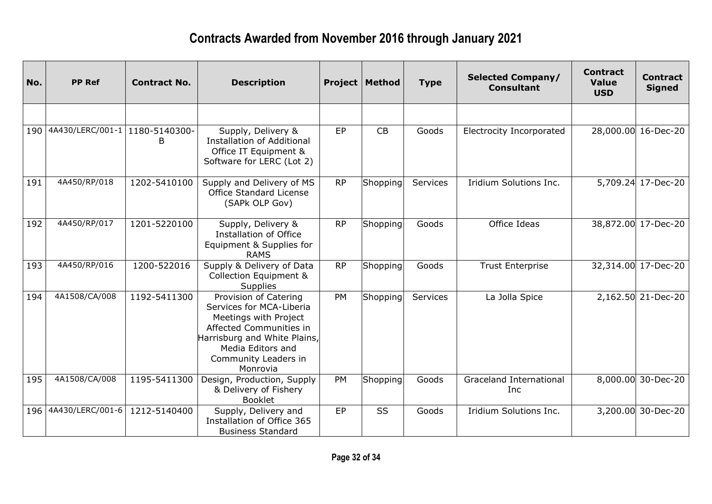| No. | <b>PP Ref</b>                    | <b>Contract No.</b> | <b>Description</b>                                                                                                                                                                             |           | <b>Project   Method</b> | <b>Type</b> | <b>Selected Company/</b><br><b>Consultant</b> | <b>Contract</b><br><b>Value</b><br><b>USD</b> | <b>Contract</b><br><b>Signed</b> |
|-----|----------------------------------|---------------------|------------------------------------------------------------------------------------------------------------------------------------------------------------------------------------------------|-----------|-------------------------|-------------|-----------------------------------------------|-----------------------------------------------|----------------------------------|
|     |                                  |                     |                                                                                                                                                                                                |           |                         |             |                                               |                                               |                                  |
| 190 | 4A430/LERC/001-1   1180-5140300- | B                   | Supply, Delivery &<br><b>Installation of Additional</b><br>Office IT Equipment &<br>Software for LERC (Lot 2)                                                                                  | EP        | CB                      | Goods       | <b>Electrocity Incorporated</b>               |                                               | 28,000.00 16-Dec-20              |
| 191 | 4A450/RP/018                     | 1202-5410100        | Supply and Delivery of MS<br><b>Office Standard License</b><br>(SAPk OLP Gov)                                                                                                                  | <b>RP</b> | Shopping                | Services    | Iridium Solutions Inc.                        |                                               | 5,709.24 17-Dec-20               |
| 192 | 4A450/RP/017                     | 1201-5220100        | Supply, Delivery &<br><b>Installation of Office</b><br>Equipment & Supplies for<br><b>RAMS</b>                                                                                                 | <b>RP</b> | Shopping                | Goods       | Office Ideas                                  |                                               | 38,872.00 17-Dec-20              |
| 193 | 4A450/RP/016                     | 1200-522016         | Supply & Delivery of Data<br><b>Collection Equipment &amp;</b><br><b>Supplies</b>                                                                                                              | <b>RP</b> | Shopping                | Goods       | <b>Trust Enterprise</b>                       |                                               | 32,314.00 17-Dec-20              |
| 194 | 4A1508/CA/008                    | 1192-5411300        | Provision of Catering<br>Services for MCA-Liberia<br>Meetings with Project<br>Affected Communities in<br>Harrisburg and White Plains,<br>Media Editors and<br>Community Leaders in<br>Monrovia | PM        | Shopping                | Services    | La Jolla Spice                                |                                               | 2,162.50 21-Dec-20               |
| 195 | 4A1508/CA/008                    | 1195-5411300        | Design, Production, Supply<br>& Delivery of Fishery<br><b>Booklet</b>                                                                                                                          | PM        | Shopping                | Goods       | Graceland International<br>Inc                |                                               | 8,000.00 30-Dec-20               |
|     | 196 4A430/LERC/001-6             | 1212-5140400        | Supply, Delivery and<br>Installation of Office 365<br><b>Business Standard</b>                                                                                                                 | EP        | SS                      | Goods       | Iridium Solutions Inc.                        |                                               | 3,200.00 30-Dec-20               |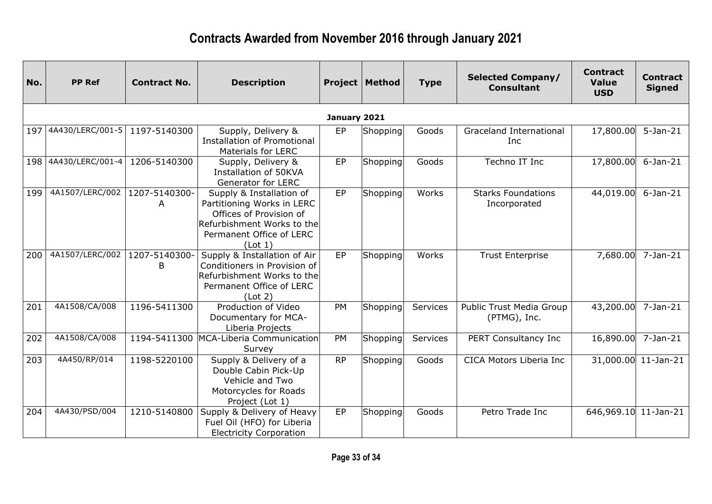| No. | <b>PP Ref</b>        | <b>Contract No.</b> | <b>Description</b>                                                                                                                                     |              | <b>Project   Method</b> | <b>Type</b> | <b>Selected Company/</b><br><b>Consultant</b> | <b>Contract</b><br><b>Value</b><br><b>USD</b> | <b>Contract</b><br><b>Signed</b> |
|-----|----------------------|---------------------|--------------------------------------------------------------------------------------------------------------------------------------------------------|--------------|-------------------------|-------------|-----------------------------------------------|-----------------------------------------------|----------------------------------|
|     |                      |                     |                                                                                                                                                        | January 2021 |                         |             |                                               |                                               |                                  |
| 197 | 4A430/LERC/001-5     | 1197-5140300        | Supply, Delivery &<br><b>Installation of Promotional</b><br><b>Materials for LERC</b>                                                                  | EP           | Shopping                | Goods       | <b>Graceland International</b><br>Inc         | 17,800.00                                     | $5-$ Jan $-21$                   |
|     | 198 4A430/LERC/001-4 | 1206-5140300        | Supply, Delivery &<br>Installation of 50KVA<br>Generator for LERC                                                                                      | EP           | Shopping                | Goods       | Techno IT Inc                                 | 17,800.00                                     | $6$ -Jan-21                      |
| 199 | 4A1507/LERC/002      | 1207-5140300-<br>A  | Supply & Installation of<br>Partitioning Works in LERC<br>Offices of Provision of<br>Refurbishment Works to the<br>Permanent Office of LERC<br>(Lot 1) | EP           | Shopping                | Works       | <b>Starks Foundations</b><br>Incorporated     | 44,019.00                                     | $6$ -Jan-21                      |
| 200 | 4A1507/LERC/002      | 1207-5140300-<br>B  | Supply & Installation of Air<br>Conditioners in Provision of<br>Refurbishment Works to the<br>Permanent Office of LERC<br>(Lot 2)                      | EP           | Shopping                | Works       | <b>Trust Enterprise</b>                       | 7,680.00                                      | $7 - Jan - 21$                   |
| 201 | 4A1508/CA/008        | 1196-5411300        | Production of Video<br>Documentary for MCA-<br>Liberia Projects                                                                                        | PM           | Shopping                | Services    | Public Trust Media Group<br>(PTMG), Inc.      | 43,200.00                                     | $7 - Jan - 21$                   |
| 202 | 4A1508/CA/008        | 1194-5411300        | MCA-Liberia Communication<br>Survey                                                                                                                    | PM           | Shopping                | Services    | PERT Consultancy Inc                          | 16,890.00                                     | $7 - Jan-21$                     |
| 203 | 4A450/RP/014         | 1198-5220100        | Supply & Delivery of a<br>Double Cabin Pick-Up<br>Vehicle and Two<br>Motorcycles for Roads<br>Project (Lot 1)                                          | <b>RP</b>    | Shopping                | Goods       | CICA Motors Liberia Inc                       |                                               | 31,000.00 11-Jan-21              |
| 204 | 4A430/PSD/004        | 1210-5140800        | Supply & Delivery of Heavy<br>Fuel Oil (HFO) for Liberia<br><b>Electricity Corporation</b>                                                             | EP           | Shopping                | Goods       | Petro Trade Inc                               | 646,969.10 11-Jan-21                          |                                  |